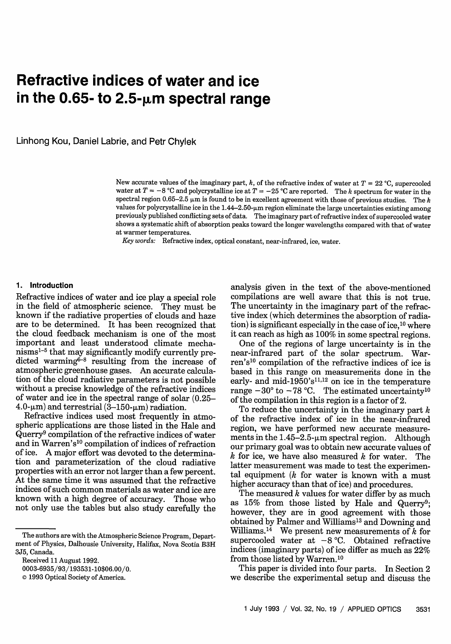# **Refractive indices of water and ice in the 0.65- to 2.5-gm spectral range**

Linhong Kou, Daniel Labrie, and Petr Chylek

New accurate values of the imaginary part,  $k$ , of the refractive index of water at  $T = 22$  °C, supercooled water at  $T = -8$  °C and polycrystalline ice at  $T = -25$  °C are reported. The *k* spectrum for water in the spectral region 0.65-2.5  $\mu$ m is found to be in excellent agreement with those of previous studies. The *k* values for polycrystalline ice in the  $1.44-2.50$ - $\mu$ m region eliminate the large uncertainties existing among previously published conflicting sets of data. The imaginary part of refractive index of supercooled water shows a systematic shift of absorption peaks toward the longer wavelengths compared with that of water at warmer temperatures.

*Key words:* Refractive index, optical constant, near-infrared, ice, water.

#### 1. **Introduction**

Refractive indices of water and ice play a special role in the field of atmospheric science. They must be known if the radiative properties of clouds and haze are to be determined. It has been recognized that the cloud feedback mechanism is one of the most important and least understood climate mechanisms<sup>1-5</sup> that may significantly modify currently predicted warming<sup>6-8</sup> resulting from the increase of atmospheric greenhouse gases. An accurate calculation of the cloud radiative parameters is not possible without a precise knowledge of the refractive indices of water and ice in the spectral range of solar (0.25-  $4.0-\mu m$ ) and terrestrial ( $3-150-\mu m$ ) radiation.

Refractive indices used most frequently in atmospheric applications are those listed in the Hale and Querry<sup>9</sup> compilation of the refractive indices of water and in Warren's<sup>10</sup> compilation of indices of refraction of ice. A major effort was devoted to the determination and parameterization of the cloud radiative properties with an error not larger than a few percent. At the same time it was assumed that the refractive indices of such common materials as water and ice are known with a high degree of accuracy. Those who not only use the tables but also study carefully the analysis given in the text of the above-mentioned compilations are well aware that this is not true. The uncertainty in the imaginary part of the refractive index (which determines the absorption of radiation) is significant especially in the case of ice,<sup>10</sup> where it can reach as high as 100% in some spectral regions.

One of the regions of large uncertainty is in the near-infrared part of the solar spectrum. Warren's<sup>10</sup> compilation of the refractive indices of ice is based in this range on measurements done in the early- and mid-1950's<sup>11,12</sup> on ice in the temperature range  $-30^{\circ}$  to  $-78^{\circ}$ C. The estimated uncertainty<sup>10</sup> of the compilation in this region is a factor of 2.

To reduce the uncertainty in the imaginary part *k* of the refractive index of ice in the near-infrared region, we have performed new accurate measurements in the  $1.45-2.5$ - $\mu$ m spectral region. Although our primary goal was to obtain new accurate values of *k* for ice, we have also measured *k* for water. The latter measurement was made to test the experimental equipment *(k* for water is known with a must higher accuracy than that of ice) and procedures.

The measured *k* values for water differ by as much as 15% from those listed by Hale and Querry<sup>9</sup>; however, they are in good agreement with those obtained by Palmer and Williams<sup>13</sup> and Downing and Williams.<sup>14</sup> We present new measurements of  $k$  for supercooled water at  $-8$  °C. Obtained refractive indices (imaginary parts) of ice differ as much as 22% from those listed by Warren.<sup>10</sup>

This paper is divided into four parts. In Section 2 we describe the experimental setup and discuss the

The authors are with the Atmospheric Science Program, Department of Physics, Dalhousie University, Halifax, Nova Scotia B3H 3J5, Canada.

Received 11 August 1992.

<sup>0003-6935/93/193531-10\$06.00/0.</sup>

**<sup>©</sup>** 1993 Optical Society of America.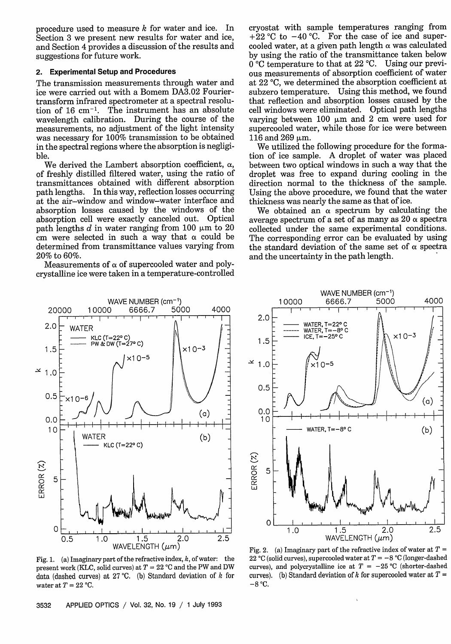procedure used to measure  $k$  for water and ice. In Section 3 we present new results for water and ice, and Section 4 provides a discussion of the results and suggestions for future work.

## **2. Experimental Setup and Procedures**

The transmission measurements through water and ice were carried out with a Bomem DA3.02 Fouriertransform infrared spectrometer at a spectral resolution of 16 cm-'. The instrument has an absolute wavelength calibration. During the course of the measurements, no adjustment of the light intensity was necessary for 100% transmission to be obtained in the spectral regions where the absorption is negligible.

We derived the Lambert absorption coefficient,  $\alpha$ , of freshly distilled filtered water, using the ratio of transmittances obtained with different absorption path lengths. In this way, reflection losses occurring at the air-window and window-water interface and absorption losses caused by the windows of the absorption cell were exactly canceled out. Optical path lengths d in water ranging from 100  $\mu$ m to 20 cm were selected in such a way that  $\alpha$  could be determined from transmittance values varying from 20% to 60%.

Measurements of  $\alpha$  of supercooled water and polycrystalline ice were taken in a temperature-controlled cryostat with sample temperatures ranging from  $+22$  °C to  $-40$  °C. For the case of ice and supercooled water, at a given path length  $\alpha$  was calculated by using the ratio of the transmittance taken below  $0^{\circ}$ C temperature to that at 22 °C. Using our previous measurements of absorption coefficient of water at 22 °C, we determined the absorption coefficient at subzero temperature. Using this method, we found that reflection and absorption losses caused by the cell windows were eliminated. Optical path lengths varying between 100  $\mu$ m and 2 cm were used for supercooled water, while those for ice were between  $116$  and  $269$   $\mu$ m.

We utilized the following procedure for the formation of ice sample. A droplet of water was placed between two optical windows in such a way that the droplet was free to expand during cooling in the direction normal to the thickness of the sample. Using the above procedure, we found that the water thickness was nearly the same as that of ice.

We obtained an  $\alpha$  spectrum by calculating the average spectrum of a set of as many as  $20 \alpha$  spectra collected under the same experimental conditions. The corresponding error can be evaluated by using the standard deviation of the same set of  $\alpha$  spectra and the uncertainty in the path length.



Fig. 1. (a) Imaginary part of the refractive index,  $k$ , of water: the present work (KLC, solid curves) at  $T = 22$  °C and the PW and DW data (dashed curves) at 27 °C. (b) Standard deviation of  $k$  for water at  $T = 22$  °C.



Fig. 2. (a) Imaginary part of the refractive index of water at  $T =$ 22 °C (solid curves), supercooled water at  $T = -8$  °C (longer-dashed curves), and polycrystalline ice at  $T = -25$  °C (shorter-dashed curves). (b) Standard deviation of  $k$  for supercooled water at  $T =$  $-8$  °C.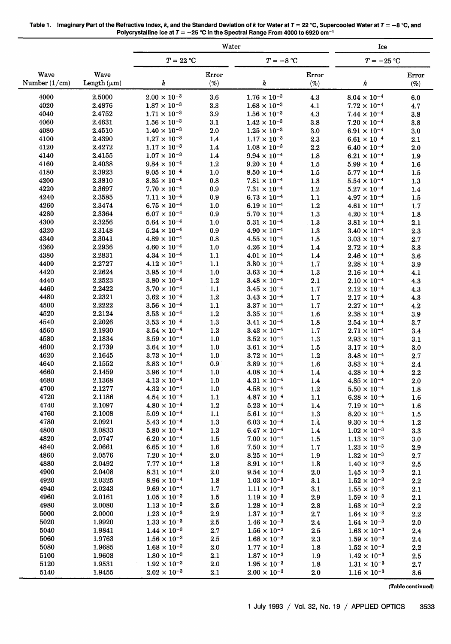| Table 1. Imaginary Part of the Refractive Index, k, and the Standard Deviation of k for Water at $T = 22$ °C, Supercooled Water at $T = -8$ °C, and |
|-----------------------------------------------------------------------------------------------------------------------------------------------------|
| Polycrystalline Ice at $T = -25$ °C in the Spectral Range From 4000 to 6920 cm <sup>-1</sup>                                                        |

|                 |                  | Water                                          |                |                                                |                | Ice                                            |                |  |
|-----------------|------------------|------------------------------------------------|----------------|------------------------------------------------|----------------|------------------------------------------------|----------------|--|
|                 |                  | $T = 22 °C$                                    |                | $T = -8 °C$                                    |                | $T = -25$ °C                                   |                |  |
| Wave            | Wave             |                                                | Error          |                                                | Error          |                                                | Error          |  |
| Number $(1/cm)$ | Length $(\mu m)$ | k                                              | (%)            | k                                              | $(\%)$         | k                                              | $(\%)$         |  |
| 4000            | 2.5000           | $2.00 \times 10^{-3}$                          | 3.6            | $1.76 \times 10^{-3}$                          | 4.3            | $8.04\times10^{-4}$                            | 6.0            |  |
| 4020            | 2.4876           | $1.87 \times 10^{-3}$                          | $\bf 3.3$      | $1.68 \times 10^{-3}$                          | 4.1            | $7.72 \times 10^{-4}$                          | 4.7            |  |
| 4040            | 2.4752           | $1.71 \times 10^{-3}$                          | 3.9            | $1.56 \times 10^{-3}$                          | 4.3            | $7.44 \times 10^{-4}$                          | 3.8            |  |
| 4060            | 2.4631           | $1.56 \times 10^{-3}$                          | 3.1            | $1.42 \times 10^{-3}$                          | 3.8            | $7.20 \times 10^{-4}$                          | $3.8\,$        |  |
| 4080            | 2.4510           | $1.40 \times 10^{-3}$                          | 2.0            | $1.25 \times 10^{-3}$                          | 3.0            | $6.91 \times 10^{-4}$                          | 3.0            |  |
| 4100            | 2.4390           | $1.27\times10^{-3}$                            | 1.4            | $1.17 \times 10^{-3}$                          | $2.3\,$        | $6.61 \times 10^{-4}$                          | 2.1            |  |
| 4120            | 2.4272           | $1.17 \times 10^{-3}$                          | 1.4            | $1.08 \times 10^{-3}$                          | 2.2            | $6.40 \times 10^{-4}$                          | 2.0            |  |
| 4140            | 2.4155           | $1.07 \times 10^{-3}$                          | $1.4\,$        | $9.94 \times 10^{-4}$                          | 1.8            | $6.21 \times 10^{-4}$                          | 1.9            |  |
| 4160            | 2.4038           | $9.84 \times 10^{-4}$                          | 1.2            | $9.20 \times 10^{-4}$                          | 1.5            | $5.99 \times 10^{-4}$                          | 1.6            |  |
| 4180<br>4200    | 2.3923<br>2.3810 | $9.05 \times 10^{-4}$<br>$8.35 \times 10^{-4}$ | 1.0            | $8.50 \times 10^{-4}$                          | 1.5            | $5.77 \times 10^{-4}$                          | $1.5\,$        |  |
| 4220            | 2.3697           | $7.70\times10^{-4}$                            | 0.8<br>0.9     | $7.81 \times 10^{-4}$<br>$7.31 \times 10^{-4}$ | 1.3<br>1.2     | $5.54 \times 10^{-4}$<br>$5.27 \times 10^{-4}$ | 1.3<br>1.4     |  |
| 4240            | 2.3585           | $7.11 \times 10^{-4}$                          | 0.9            | $6.73 \times 10^{-4}$                          | 1.1            | $4.97 \times 10^{-4}$                          | 1.5            |  |
| 4260            | 2.3474           | $6.75 \times 10^{-4}$                          | $1.0$          | $6.19 \times 10^{-4}$                          | 1.2            | $4.61 \times 10^{-4}$                          | 1.7            |  |
| 4280            | 2.3364           | $6.07 \times 10^{-4}$                          | 0.9            | $5.70 \times 10^{-4}$                          | 1.3            | $4.20 \times 10^{-4}$                          | 1.8            |  |
| 4300            | 2.3256           | $5.64 \times 10^{-4}$                          | 1.0            | $5.31 \times 10^{-4}$                          | 1.3            | $3.81 \times 10^{-4}$                          | 2.1            |  |
| 4320            | 2.3148           | $5.24 \times 10^{-4}$                          | 0.9            | $4.90 \times 10^{-4}$                          | 1.3            | $3.40 \times 10^{-4}$                          | 2.3            |  |
| 4340            | 2.3041           | $4.89 \times 10^{-4}$                          | 0.8            | $4.55 \times 10^{-4}$                          | 1.5            | $3.03 \times 10^{-4}$                          | 2.7            |  |
| 4360            | 2.2936           | $4.60 \times 10^{-4}$                          | 1.0            | $4.26 \times 10^{-4}$                          | 1.4            | $2.72 \times 10^{-4}$                          | 3.3            |  |
| 4380            | 2.2831           | $4.34 \times 10^{-4}$                          | 1.1            | $4.01 \times 10^{-4}$                          | 1.4            | $2.46 \times 10^{-4}$                          | 3.6            |  |
| 4400            | 2.2727           | $4.12 \times 10^{-4}$                          | 1.1            | $3.80 \times 10^{-4}$                          | 1.7            | $2.28 \times 10^{-4}$                          | 3.9            |  |
| 4420            | 2.2624           | $3.95 \times 10^{-4}$                          | 1.0            | $3.63 \times 10^{-4}$                          | 1.3            | $2.16 \times 10^{-4}$                          | 4.1            |  |
| 4440            | 2.2523           | $3.80 \times 10^{-4}$                          | $1.2\,$        | $3.48 \times 10^{-4}$                          | 2.1            | $2.10 \times 10^{-4}$                          | 4.3            |  |
| 4460            | 2.2422           | $3.70 \times 10^{-4}$                          | $1.1\,$        | $3.45 \times 10^{-4}$                          | 1.7            | $2.12 \times 10^{-4}$                          | 4.3            |  |
| 4480            | 2.2321           | $3.62 \times 10^{-4}$                          | 1.2            | $3.43 \times 10^{-4}$                          | 1.7            | $2.17 \times 10^{-4}$                          | 4.3            |  |
| 4500            | 2.2222           | $3.56 \times 10^{-4}$                          | $1.1\,$        | $3.37 \times 10^{-4}$                          | 1.7            | $2.27 \times 10^{-4}$                          | 4.2            |  |
| 4520            | 2.2124           | $3.53 \times 10^{-4}$                          | $1.2\,$        | $3.35 \times 10^{-4}$                          | $1.6\,$        | $2.38 \times 10^{-4}$                          | 3.9            |  |
| 4540            | 2.2026           | $3.53 \times 10^{-4}$                          | $1.3\,$        | $3.41 \times 10^{-4}$                          | 1.8            | $2.54 \times 10^{-4}$                          | 3.7            |  |
| 4560            | 2.1930<br>2.1834 | $3.54 \times 10^{-4}$                          | $1.3\,$        | $3.43 \times 10^{-4}$                          | 1.7            | $2.71 \times 10^{-4}$                          | 3.4            |  |
| 4580<br>4600    | 2.1739           | $3.59 \times 10^{-4}$<br>$3.64 \times 10^{-4}$ | 1.0<br>$1.0\,$ | $3.52 \times 10^{-4}$<br>$3.61 \times 10^{-4}$ | 1.3<br>$1.5\,$ | $2.93 \times 10^{-4}$<br>$3.17 \times 10^{-4}$ | 3.1            |  |
| 4620            | 2.1645           | $3.73 \times 10^{-4}$                          | 1.0            | $3.72 \times 10^{-4}$                          | 1.2            | $3.48 \times 10^{-4}$                          | 3.0<br>2.7     |  |
| 4640            | 2.1552           | $3.83 \times 10^{-4}$                          | 0.9            | $3.89 \times 10^{-4}$                          | 1.6            | $3.83 \times 10^{-4}$                          | 2.4            |  |
| 4660            | 2.1459           | $3.96 \times 10^{-4}$                          | 1.0            | $4.08 \times 10^{-4}$                          | 1.4            | $4.28 \times 10^{-4}$                          | 2.2            |  |
| 4680            | 2.1368           | $4.13 \times 10^{-4}$                          | 1.0            | $4.31 \times 10^{-4}$                          | 1.4            | $4.85 \times 10^{-4}$                          | 2.0            |  |
| 4700            | 2.1277           | $4.32 \times 10^{-4}$                          | 1.0            | $4.58 \times 10^{-4}$                          | 1.2            | $5.50 \times 10^{-4}$                          | 1.8            |  |
| 4720            | 2.1186           | $4.54\times10^{-4}$                            | 1.1            | $4.87 \times 10^{-4}$                          | 1.1            | $6.28 \times 10^{-4}$                          | 1.6            |  |
| 4740            | 2.1097           | $4.80 \times 10^{-4}$                          | $1.2\,$        | $5.23 \times 10^{-4}$                          | 1.4            | $7.19 \times 10^{-4}$                          | 1.6            |  |
| 4760            | 2.1008           | $5.09 \times 10^{-4}$                          | 1.1            | $5.61 \times 10^{-4}$                          | 1.3            | $8.20 \times 10^{-4}$                          | 1.5            |  |
| 4780            | 2.0921           | $5.43 \times 10^{-4}$                          | 1.3            | $6.03 \times 10^{-4}$                          | 1.4            | $9.30 \times 10^{-4}$                          | 1.2            |  |
| 4800            | 2.0833           | $5.80 \times 10^{-4}$                          | 1.3            | $6.47 \times 10^{-4}$                          | 1.4            | $1.02 \times 10^{-3}$                          | 3.3            |  |
| 4820            | 2.0747           | $6.20 \times 10^{-4}$                          | $1.5\,$        | $7.00 \times 10^{-4}$                          | 1.5            | $1.13 \times 10^{-3}$                          | 3.0            |  |
| 4840            | 2.0661           | $6.65 \times 10^{-4}$                          | 1.6            | $7.50 \times 10^{-4}$                          | 1.7            | $1.23\times10^{-3}$                            | 2.9            |  |
| 4860            | 2.0576           | $7.20 \times 10^{-4}$                          | 2.0            | $8.25 \times 10^{-4}$                          | 1.9            | $1.32 \times 10^{-3}$                          | 2.7            |  |
| 4880            | 2.0492           | $7.77 \times 10^{-4}$                          | 1.8            | $8.91 \times 10^{-4}$                          | 1.8            | $1.40 \times 10^{-3}$                          | $2.5\,$        |  |
| 4900            | 2.0408           | $8.31 \times 10^{-4}$                          | 2.0            | $9.54 \times 10^{-4}$                          | $2.0\,$        | $1.45 \times 10^{-3}$                          | 2.1            |  |
| 4920<br>4940    | 2.0325<br>2.0243 | $8.96 \times 10^{-4}$<br>$9.69 \times 10^{-4}$ | 1.8<br>1.7     | $1.03 \times 10^{-3}$<br>$1.11 \times 10^{-3}$ | 3.1<br>3.1     | $1.52 \times 10^{-3}$<br>$1.55 \times 10^{-3}$ | $2.2\,$<br>2.1 |  |
| 4960            | 2.0161           | $1.05 \times 10^{-3}$                          | $1.5\,$        | $1.19 \times 10^{-3}$                          | 2.9            | $1.59 \times 10^{-3}$                          | 2.1            |  |
| 4980            | 2.0080           | $1.13 \times 10^{-3}$                          | $2.5\,$        | $1.28 \times 10^{-3}$                          | 2.8            | $1.63 \times 10^{-3}$                          | 2.2            |  |
| 5000            | 2.0000           | $1.23 \times 10^{-3}$                          | 2.9            | $1.37 \times 10^{-3}$                          | 2.7            | $1.64 \times 10^{-3}$                          | 2.2            |  |
| 5020            | 1.9920           | $1.33 \times 10^{-3}$                          | $2.5\,$        | $1.46 \times 10^{-3}$                          | 2.4            | $1.64\times10^{-3}$                            | 2.0            |  |
| 5040            | 1.9841           | $1.44 \times 10^{-3}$                          | 2.7            | $1.56 \times 10^{-3}$                          | 2.5            | $1.63 \times 10^{-3}$                          | 2.4            |  |
| 5060            | 1.9763           | $1.56 \times 10^{-3}$                          | $2.5\,$        | $1.68 \times 10^{-3}$                          | 2.3            | $1.59\times10^{-3}$                            | 2.4            |  |
| 5080            | 1.9685           | $1.68 \times 10^{-3}$                          | 2.0            | $1.77 \times 10^{-3}$                          | 1.8            | $1.52 \times 10^{-3}$                          | $2.2\,$        |  |
| 5100            | 1.9608           | $1.80 \times 10^{-3}$                          | 2.1            | $1.87 \times 10^{-3}$                          | $1.9\,$        | $1.42 \times 10^{-3}$                          | 2.5            |  |
| 5120            | 1.9531           | $1.92 \times 10^{-3}$                          | $2.0\,$        | $1.95 \times 10^{-3}$                          | 1.8            | $1.31\times10^{-3}$                            | 2.7            |  |
| 5140            | 1.9455           | $2.02 \times 10^{-3}$                          | 2.1            | $2.00 \times 10^{-3}$                          | 2.0            | $1.16 \times 10^{-3}$                          | 3.6            |  |

 $\ddot{\phantom{a}}$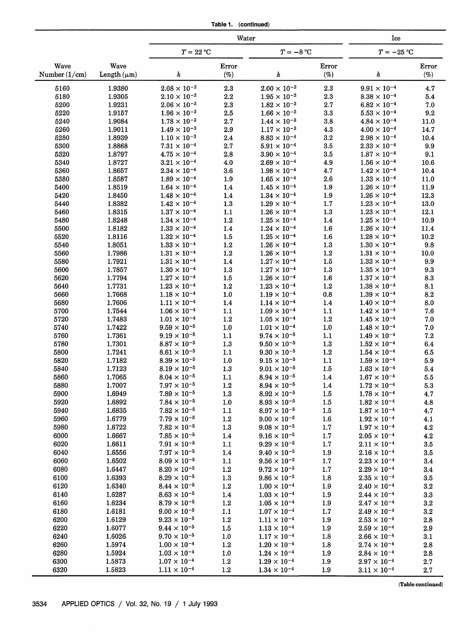| Table 1. | (continued) |
|----------|-------------|
|----------|-------------|

|                         |                          | Water                                          |                 |                                                |                 | Ice                                            |                 |  |
|-------------------------|--------------------------|------------------------------------------------|-----------------|------------------------------------------------|-----------------|------------------------------------------------|-----------------|--|
|                         |                          | $T=22\ \mathrm{^\circ C}$                      |                 | $T = -8 °C$                                    |                 | $T = -25$ °C                                   |                 |  |
| Wave<br>Number $(1/cm)$ | Wave<br>Length $(\mu m)$ | k                                              | Error<br>$(\%)$ | k                                              | Error<br>$(\%)$ | k                                              | Error<br>$(\%)$ |  |
| 5160                    | 1.9380                   | $2.08 \times 10^{-3}$                          | 2.3             | $2.00 \times 10^{-3}$                          | 2.3             | $9.91 \times 10^{-4}$                          | 4.7             |  |
| 5180                    | 1.9305                   | $2.10 \times 10^{-3}$                          | 2.2             | $1.95 \times 10^{-3}$                          | 2.3             | $8.38 \times 10^{-4}$                          | 5.4             |  |
| 5200                    | 1.9231                   | $2.06 \times 10^{-3}$                          | 2.3             | $1.82 \times 10^{-3}$                          | 2.7             | $6.82 \times 10^{-4}$                          | 7.0             |  |
| 5220                    | 1.9157                   | $1.96 \times 10^{-3}$                          | $2.5\,$         | $1.66 \times 10^{-3}$                          | 3.3             | $5.53 \times 10^{-4}$                          | 9.2             |  |
| 5240                    | 1.9084                   | $1.78 \times 10^{-3}$                          | 2.7             | $1.44 \times 10^{-3}$                          | 3.8             | $4.84 \times 10^{-4}$                          | 11.0            |  |
| 5260                    | 1.9011                   | $1.49 \times 10^{-3}$                          | 2.9             | $1.17 \times 10^{-3}$                          | 4.3             | $4.00 \times 10^{-4}$                          | 14.7            |  |
| 5280                    | 1.8939                   | $1.10 \times 10^{-3}$                          | $2.4\,$         | $8.83 \times 10^{-4}$                          | 3.2             | $2.98 \times 10^{-4}$                          | 10.4            |  |
| 5300                    | 1.8868                   | $7.31 \times 10^{-4}$                          | 2.7             | $5.91 \times 10^{-4}$                          | $3.5\,$         | $2.33 \times 10^{-4}$                          | 9.9             |  |
| 5320<br>5340            | 1.8797<br>1.8727         | $4.75 \times 10^{-4}$<br>$3.21 \times 10^{-4}$ | 2.8<br>4.0      | $3.90 \times 10^{-4}$<br>$2.69 \times 10^{-4}$ | 3.5<br>4.9      | $1.87 \times 10^{-4}$<br>$1.56 \times 10^{-4}$ | 9.1<br>10.6     |  |
| 5360                    | 1.8657                   | $2.34 \times 10^{-4}$                          | 3.6             | $1.98 \times 10^{-4}$                          | 4.7             | $1.42 \times 10^{-4}$                          | 10.4            |  |
| 5380                    | 1.8587                   | $1.89 \times 10^{-4}$                          | 1.9             | $1.65 \times 10^{-4}$                          | 2.6             | $1.33 \times 10^{-4}$                          | 11.0            |  |
| 5400                    | 1.8519                   | $1.64 \times 10^{-4}$                          | 1.4             | $1.45 \times 10^{-4}$                          | 1.9             | $1.26 \times 10^{-4}$                          | 11.9            |  |
| 5420                    | 1.8450                   | $1.48 \times 10^{-4}$                          | 1.4             | $1.34 \times 10^{-4}$                          | 1.9             | $1.26 \times 10^{-4}$                          | 12.3            |  |
| 5440                    | 1.8382                   | $1.42 \times 10^{-4}$                          | 1.3             | $1.29 \times 10^{-4}$                          | 1.7             | $1.23 \times 10^{-4}$                          | 13.0            |  |
| 5460                    | 1.8315                   | $1.37 \times 10^{-4}$                          | 1.1             | $1.26 \times 10^{-4}$                          | 1.3             | $1.23 \times 10^{-4}$                          | 12.1            |  |
| 5480                    | 1.8248                   | $1.34 \times 10^{-4}$                          | 1.2             | $1.25 \times 10^{-4}$                          | 1.4             | $1.25 \times 10^{-4}$                          | 10.9            |  |
| 5500                    | 1.8182                   | $1.33 \times 10^{-4}$                          | 1.4             | $1.24 \times 10^{-4}$                          | 1.6             | $1.26 \times 10^{-4}$                          | 11.4            |  |
| 5520                    | 1.8116                   | $1.32 \times 10^{-4}$                          | $1.5\,$         | $1.25 \times 10^{-4}$                          | $1.6\,$         | $1.28 \times 10^{-4}$                          | 10.2            |  |
| 5540                    | 1.8051                   | $1.33 \times 10^{-4}$                          | 1.2             | $1.26 \times 10^{-4}$                          | 1.3             | $1.30 \times 10^{-4}$                          | 9.8             |  |
| 5560                    | 1.7986                   | $1.31 \times 10^{-4}$                          | $1.2\,$         | $1.26 \times 10^{-4}$                          | 1.2             | $1.31 \times 10^{-4}$                          | 10.0            |  |
| 5580                    | 1.7921                   | $1.31 \times 10^{-4}$                          | 1.4             | $1.27\times10^{-4}$                            | 1.5             | $1.33 \times 10^{-4}$                          | 9.9             |  |
| 5600                    | 1.7857                   | $1.30 \times 10^{-4}$                          | 1.3             | $1.27 \times 10^{-4}$                          | 1.3             | $1.35 \times 10^{-4}$                          | 9.3             |  |
| 5620                    | 1.7794                   | $1.27 \times 10^{-4}$                          | 1.5             | $1.26 \times 10^{-4}$                          | 1.6             | $1.37 \times 10^{-4}$                          | 8.3             |  |
| 5640                    | 1.7731                   | $1.23 \times 10^{-4}$                          | 1.2             | $1.23 \times 10^{-4}$                          | $1.2\,$         | $1.38 \times 10^{-4}$                          | 8.1             |  |
| 5660                    | 1.7668                   | $1.18 \times 10^{-4}$                          | 1.0             | $1.19 \times 10^{-4}$                          | 0.8             | $1.39 \times 10^{-4}$                          | 8.2             |  |
| 5680                    | 1.7606<br>1.7544         | $1.11 \times 10^{-4}$<br>$1.06 \times 10^{-4}$ | 1.4<br>1.1      | $1.14 \times 10^{-4}$<br>$1.09 \times 10^{-4}$ | 1.4<br>1.1      | $1.40 \times 10^{-4}$<br>$1.42 \times 10^{-4}$ | 8.0<br>7.6      |  |
| 5700<br>5720            | 1.7483                   | $1.01 \times 10^{-4}$                          | 1.2             | $1.05 \times 10^{-4}$                          | 1.2             | $1.45 \times 10^{-4}$                          | 7.0             |  |
| 5740                    | 1.7422                   | $9.59 \times 10^{-5}$                          | $1.0$           | $1.01 \times 10^{-4}$                          | 1.0             | $1.48 \times 10^{-4}$                          | 7.0             |  |
| 5760                    | 1.7361                   | $9.19 \times 10^{-5}$                          | 1.1             | $9.74 \times 10^{-5}$                          | 1.1             | $1.49 \times 10^{-4}$                          | 7.2             |  |
| 5780                    | 1.7301                   | $8.87 \times 10^{-5}$                          | 1.3             | $9.50 \times 10^{-5}$                          | 1.3             | $1.52 \times 10^{-4}$                          | 6.4             |  |
| 5800                    | 1.7241                   | $8.61 \times 10^{-5}$                          | 1.1             | $9.30 \times 10^{-5}$                          | 1.2             | $1.54 \times 10^{-4}$                          | 6.5             |  |
| 5820                    | 1.7182                   | $8.39 \times 10^{-5}$                          | 1.0             | $9.15 \times 10^{-5}$                          | 1.1             | $1.59 \times 10^{-4}$                          | 5.9             |  |
| 5840                    | 1.7123                   | $8.19 \times 10^{-5}$                          | 1.3             | $9.01 \times 10^{-5}$                          | $1.5\,$         | $1.63 \times 10^{-4}$                          | 5.4             |  |
| 5860                    | 1.7065                   | $8.04 \times 10^{-5}$                          | 1.1             | $8.94 \times 10^{-5}$                          | 1.4             | $1.67 \times 10^{-4}$                          | $5.5\,$         |  |
| 5880                    | 1.7007                   | $7.97 \times 10^{-5}$                          | 1.2             | $8.94 \times 10^{-5}$                          | 1.4             | $1.72\times10^{-4}$                            | 5.3             |  |
| 5900                    | 1.6949                   | $7.89 \times 10^{-5}$                          | 1.3             | $8.92 \times 10^{-5}$                          | 1.5             | $1.78 \times 10^{-4}$                          | 4.7             |  |
| 5920                    | 1.6892                   | $7.84 \times 10^{-5}$                          | 1.0             | $8.93 \times 10^{-5}$                          | 1.5             | $1.82 \times 10^{-4}$                          | 4.8             |  |
| 5940                    | 1.6835                   | $7.82 \times 10^{-5}$                          | 1.1             | $8.97 \times 10^{-5}$                          | 1.5             | $1.87 \times 10^{-4}$                          | 4.7             |  |
| 5960                    | 1.6779                   | $7.79 \times 10^{-5}$                          | $1.2\,$         | $9.00 \times 10^{-5}$                          | 1.6             | $1.92 \times 10^{-4}$                          | 4.1             |  |
| 5980                    | 1.6722                   | $7.82 \times 10^{-5}$                          | 1.3             | $9.08 \times 10^{-5}$                          | 1.7             | $1.97 \times 10^{-4}$                          | 4.2             |  |
| 6000                    | 1.6667                   | $7.85 \times 10^{-5}$                          | 1.4             | $9.16 \times 10^{-5}$                          | 1.7             | $2.05 \times 10^{-4}$                          | $4.2\,$         |  |
| 6020                    | 1.6611                   | $7.91 \times 10^{-5}$<br>$7.97 \times 10^{-5}$ | 1.1             | $9.29 \times 10^{-5}$                          | 1.7             | $2.11 \times 10^{-4}$                          | 3.5             |  |
| 6040<br>6060            | 1.6556<br>1.6502         | $8.09 \times 10^{-5}$                          | 1.4             | $9.40 \times 10^{-5}$<br>$9.56 \times 10^{-5}$ | 1.9             | $2.16 \times 10^{-4}$<br>$2.23 \times 10^{-4}$ | $3.5\,$         |  |
| 6080                    | 1.6447                   | $8.20 \times 10^{-5}$                          | 1.1<br>$1.2\,$  | $9.72 \times 10^{-5}$                          | 1.7<br>1.7      | $2.29 \times 10^{-4}$                          | 3.4<br>3.4      |  |
| 6100                    | 1.6393                   | $8.29 \times 10^{-5}$                          | $1.3\,$         | $9.86 \times 10^{-5}$                          | 1.8             | $2.35 \times 10^{-4}$                          | $\!3.5\!$       |  |
| 6120                    | 1.6340                   | $8.44 \times 10^{-5}$                          | $1.2\,$         | $1.00 \times 10^{-4}$                          | 1.9             | $2.40 \times 10^{-4}$                          | $\bf 3.2$       |  |
| 6140                    | 1.6287                   | $8.63 \times 10^{-5}$                          | 1.4             | $1.03 \times 10^{-4}$                          | 1.9             | $2.44 \times 10^{-4}$                          | 3.3             |  |
| 6160                    | 1.6234                   | $8.79 \times 10^{-5}$                          | $1.2\,$         | $1.05 \times 10^{-4}$                          | 1.9             | $2.47 \times 10^{-4}$                          | $\bf 3.2$       |  |
| 6180                    | 1.6181                   | $9.00 \times 10^{-5}$                          | 1.1             | $1.07 \times 10^{-4}$                          | 1.7             | $2.49 \times 10^{-4}$                          | $3.2\,$         |  |
| 6200                    | 1.6129                   | $9.23 \times 10^{-5}$                          | 1.2             | $1.11 \times 10^{-4}$                          | 1.9             | $2.53 \times 10^{-4}$                          | $\bf 2.8$       |  |
| 6220                    | 1.6077                   | $9.44 \times 10^{-5}$                          | 1.5             | $1.13 \times 10^{-4}$                          | 1.9             | $2.59 \times 10^{-4}$                          | 2.9             |  |
| 6240                    | 1.6026                   | $9.70 \times 10^{-5}$                          | 1.0             | $1.17 \times 10^{-4}$                          | $1.8\,$         | $2.66 \times 10^{-4}$                          | 3.1             |  |
| 6260                    | 1.5974                   | $1.00 \times 10^{-4}$                          | 1.2             | $1.20 \times 10^{-4}$                          | 1.8             | $2.74 \times 10^{-4}$                          | $2.8\,$         |  |
| 6280                    | 1.5924                   | $1.03 \times 10^{-4}$                          | 1.0             | $1.24 \times 10^{-4}$                          | 1.9             | $2.84 \times 10^{-4}$                          | 2.8             |  |
| 6300                    | 1.5873                   | $1.07 \times 10^{-4}$                          | $1.2\,$         | $1.29 \times 10^{-4}$                          | 1.9             | $2.97 \times 10^{-4}$                          | 2.7             |  |
| 6320                    | 1.5823                   | $1.11 \times 10^{-4}$                          | 1.2             | $1.34 \times 10^{-4}$                          | 1.9             | $3.11 \times 10^{-4}$                          | 2.7             |  |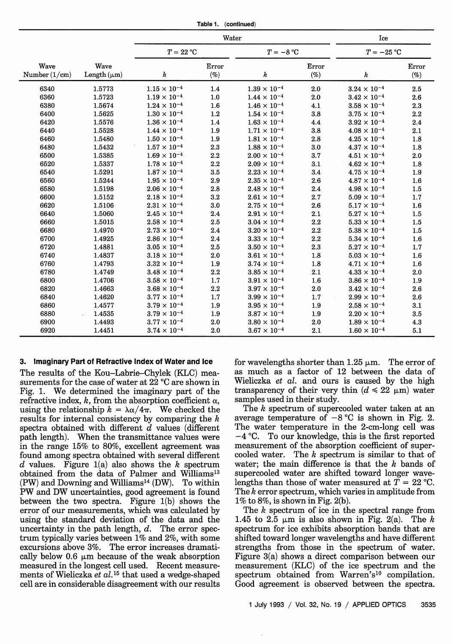| Table 1. | (continued) |
|----------|-------------|
|----------|-------------|

|                         |                          | Water                 |                 |                       |                 | Ice                   |                 |  |
|-------------------------|--------------------------|-----------------------|-----------------|-----------------------|-----------------|-----------------------|-----------------|--|
|                         |                          | $T = 22 °C$           |                 | $T = -8 °C$           |                 | $T = -25$ °C          |                 |  |
| Wave<br>Number $(1/cm)$ | Wave<br>Length $(\mu m)$ | k                     | Error<br>$(\%)$ | k                     | Error<br>$(\%)$ | k                     | Error<br>$(\%)$ |  |
| 6340                    | 1.5773                   | $1.15 \times 10^{-4}$ | 1.4             | $1.39 \times 10^{-4}$ | 2.0             | $3.24 \times 10^{-4}$ | 2.5             |  |
| 6360                    | 1.5723                   | $1.19 \times 10^{-4}$ | 1.0             | $1.44 \times 10^{-4}$ | 2.0             | $3.42 \times 10^{-4}$ | 2.6             |  |
| 6380                    | 1.5674                   | $1.24 \times 10^{-4}$ | 1.6             | $1.46 \times 10^{-4}$ | 4.1             | $3.58 \times 10^{-4}$ | 2.3             |  |
| 6400                    | 1.5625                   | $1.30 \times 10^{-4}$ | 1.2             | $1.54 \times 10^{-4}$ | 3.8             | $3.75 \times 10^{-4}$ | 2.2             |  |
| 6420                    | 1.5576                   | $1.36 \times 10^{-4}$ | 1.4             | $1.63 \times 10^{-4}$ | 4.4             | $3.92 \times 10^{-4}$ | 2.4             |  |
| 6440                    | 1.5528                   | $1.44 \times 10^{-4}$ | 1.9             | $1.71 \times 10^{-4}$ | 3.8             | $4.08 \times 10^{-4}$ | 2.1             |  |
| 6460                    | 1.5480                   | $1.50 \times 10^{-4}$ | 1.9             | $1.81 \times 10^{-4}$ | 2.8             | $4.25 \times 10^{-4}$ | 1.8             |  |
| 6480                    | 1.5432                   | $1.57 \times 10^{-4}$ | 2.3             | $1.88 \times 10^{-4}$ | 3.0             | $4.37 \times 10^{-4}$ | 1.8             |  |
| 6500                    | 1.5385                   | $1.69 \times 10^{-4}$ | 2.2             | $2.00 \times 10^{-4}$ | 3.7             | $4.51 \times 10^{-4}$ | 2.0             |  |
| 6520                    | 1.5337                   | $1.78 \times 10^{-4}$ | 2.2             | $2.09 \times 10^{-4}$ | 3.1             | $4.62 \times 10^{-4}$ | 1.8             |  |
| 6540                    | 1.5291                   | $1.87 \times 10^{-4}$ | 3.5             | $2.23 \times 10^{-4}$ | 3.4             | $4.75 \times 10^{-4}$ | 1.9             |  |
| 6560                    | 1.5244                   | $1.95 \times 10^{-4}$ | 2.9             | $2.35 \times 10^{-4}$ | 2.6             | $4.87 \times 10^{-4}$ | 1.6             |  |
| 6580                    | 1.5198                   | $2.06 \times 10^{-4}$ | 2.8             | $2.48 \times 10^{-4}$ | 2.4             | $4.98 \times 10^{-4}$ | 1.5             |  |
| 6600                    | 1.5152                   | $2.18 \times 10^{-4}$ | 3.2             | $2.61 \times 10^{-4}$ | 2.7             | $5.09 \times 10^{-4}$ | 1.7             |  |
| 6620                    | 1.5106                   | $2.31 \times 10^{-4}$ | 3.0             | $2.75 \times 10^{-4}$ | 2.6             | $5.17 \times 10^{-4}$ | 1.6             |  |
| 6640                    | 1.5060                   | $2.45 \times 10^{-4}$ | 2.4             | $2.91 \times 10^{-4}$ | 2.1             | $5.27 \times 10^{-4}$ | 1.5             |  |
| 6660                    | 1.5015                   | $2.58 \times 10^{-4}$ | 2.5             | $3.04 \times 10^{-4}$ | 2.2             | $5.33 \times 10^{-4}$ | 1.5             |  |
| 6680                    | 1.4970                   | $2.73 \times 10^{-4}$ | 2.4             | $3.20 \times 10^{-4}$ | 2.2             | $5.38 \times 10^{-4}$ | 1.5             |  |
| 6700                    | 1.4925                   | $2.86 \times 10^{-4}$ | 2.4             | $3.33 \times 10^{-4}$ | 2.2             | $5.34 \times 10^{-4}$ | 1.6             |  |
| 6720                    | 1.4881                   | $3.05 \times 10^{-4}$ | 2.5             | $3.50 \times 10^{-4}$ | 2.3             | $5.27 \times 10^{-4}$ | 1.7             |  |
| 6740                    | 1.4837                   | $3.18 \times 10^{-4}$ | 2.0             | $3.61 \times 10^{-4}$ | 1.8             | $5.03 \times 10^{-4}$ | 1.6             |  |
| 6760                    | 1.4793                   | $3.32 \times 10^{-4}$ | 1.9             | $3.74 \times 10^{-4}$ | 1.8             | $4.71 \times 10^{-4}$ | 1.6             |  |
| 6780                    | 1.4749                   | $3.48 \times 10^{-4}$ | 2.2             | $3.85 \times 10^{-4}$ | 2.1             | $4.33 \times 10^{-4}$ | 2.0             |  |
| 6800                    | 1.4706                   | $3.58 \times 10^{-4}$ | 1.7             | $3.91 \times 10^{-4}$ | 1.6             | $3.86 \times 10^{-4}$ | 1.9             |  |
| 6820                    | 1.4663                   | $3.68 \times 10^{-4}$ | 2.2             | $3.97 \times 10^{-4}$ | 2.0             | $3.42 \times 10^{-4}$ | 2.6             |  |
| 6840                    | 1.4620                   | $3.77 \times 10^{-4}$ | 1.7             | $3.99 \times 10^{-4}$ | 1.7             | $2.99 \times 10^{-4}$ | 2.6             |  |
| 6860                    | 1.4577                   | $3.79 \times 10^{-4}$ | 1.9             | $3.95 \times 10^{-4}$ | 1.9             | $2.58 \times 10^{-4}$ | 3.1             |  |
| 6880                    | 1.4535                   | $3.79 \times 10^{-4}$ | 1.9             | $3.87 \times 10^{-4}$ | 1.9             | $2.20 \times 10^{-4}$ | 3.5             |  |
| 6900                    | 1.4493                   | $3.77 \times 10^{-4}$ | 2.0             | $3.80 \times 10^{-4}$ | 2.0             | $1.89 \times 10^{-4}$ | 4.3             |  |
| 6920                    | 1.4451                   | $3.74 \times 10^{-4}$ | 2.0             | $3.67 \times 10^{-4}$ | 2.1             | $1.60 \times 10^{-4}$ | 5.1             |  |

## **3. Imaginary Part of Refractive Index of Water and Ice**

The results of the Kou-Labrie-Chylek (KLC) measurements for the case of water at 22 °C are shown in Fig. 1. We determined the imaginary part of the refractive index,  $k$ , from the absorption coefficient  $\alpha$ , using the relationship  $k = \lambda \alpha / 4\pi$ . We checked the results for internal consistency by comparing the *k* spectra obtained with different *d* values (different path length). When the transmittance values were in the range 15% to 80%, excellent agreement was found among spectra obtained with several different *d* values. Figure 1(a) also shows the *k* spectrum obtained from the data of Palmer and Williams<sup>13</sup>  $(PW)$  and Downing and Williams<sup>14</sup> (DW). To within PW and DW uncertainties, good agreement is found between the two spectra. Figure 1(b) shows the error of our measurements, which was calculated by using the standard deviation of the data and the uncertainty in the path length, *d.* The error spectrum typically varies between 1% and 2%, with some excursions above 3%. The error increases dramatically below  $0.6 \mu m$  because of the weak absorption measured in the longest cell used. Recent measurements of Wieliczka et al.<sup>15</sup> that used a wedge-shaped cell are in considerable disagreement with our results for wavelengths shorter than  $1.25 \mu m$ . The error of as much as a factor of 12 between the data of Wieliczka *et al.* and ours is caused by the high transparency of their very thin  $(d \le 22 \text{ }\mu\text{m})$  water samples used in their study.

The *k* spectrum of supercooled water taken at an average temperature of  $-8$  °C is shown in Fig. 2. The water temperature in the 2-cm-long cell was  $-4$  °C. To our knowledge, this is the first reported measurement of the absorption coefficient of supercooled water. The *k* spectrum is similar to that of water; the main difference is that the *k* bands of supercooled water are shifted toward longer wavelengths than those of water measured at  $\overline{T} = 22 \degree C$ . The *k* error spectrum, which varies in amplitude from 1% to 8%, is shown in Fig. 2(b).

The *k* spectrum of ice in the spectral range from 1.45 to 2.5  $\mu$ m is also shown in Fig. 2(a). The *k* spectrum for ice exhibits absorption bands that are shifted toward longer wavelengths and have different strengths from those in the spectrum of water. Figure 3(a) shows a direct comparison between our measurement (KLC) of the ice spectrum and the spectrum obtained from Warren's<sup>10</sup> compilation. Good agreement is observed between the spectra.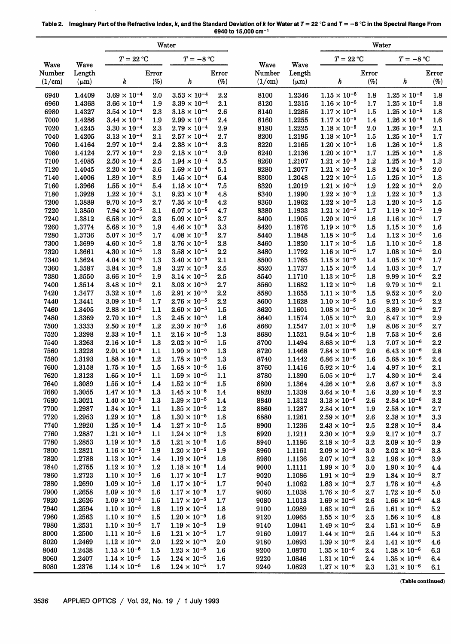|                |                  | Water                                          |                  |                                                |            | Water          |                  |                                                |                |                                                |            |
|----------------|------------------|------------------------------------------------|------------------|------------------------------------------------|------------|----------------|------------------|------------------------------------------------|----------------|------------------------------------------------|------------|
|                |                  | $T = 22 °C$                                    |                  | $T = -8 °C$                                    |            |                |                  | $T = 22 °C$                                    |                | $T = -8 °C$                                    |            |
| Wave<br>Number | Wave<br>Length   |                                                | Error            |                                                | Error      | Wave<br>Number | Wave<br>Length   |                                                | Error          |                                                | Error      |
| (1/cm)         | $(\mu m)$        | k                                              | (%)              | k                                              | (%)        | (1/cm)         | $(\mu m)$        | k                                              | (%)            | k                                              | (%)        |
| 6940           | 1.4409           | $3.69\times10^{-4}$                            | 2.0              | $3.53 \times 10^{-4}$                          | 2.2        | 8100           | 1.2346           | $1.15 \times 10^{-5}$                          | 1.8            | $1.25 \times 10^{-5}$                          | 1.8        |
| 6960           | 1.4368           | $3.66 \times 10^{-4}$                          | 1.9              | $3.39 \times 10^{-4}$                          | 2.1        | 8120           | 1.2315           | $1.16 \times 10^{-5}$                          | 1.7            | $1.25 \times 10^{-5}$                          | 1.8        |
| 6980           | 1.4327           | $3.54 \times 10^{-4}$                          | 2.3              | $3.18 \times 10^{-4}$                          | 2.6        | 8140           | 1.2285           | $1.17 \times 10^{-5}$                          | 1.5            | $1.25 \times 10^{-5}$                          | 1.8        |
| 7000<br>7020   | 1.4286<br>1.4245 | $3.44 \times 10^{-4}$<br>$3.30 \times 10^{-4}$ | 1.9<br>2.3       | $2.99 \times 10^{-4}$<br>$2.79 \times 10^{-4}$ | 2.4<br>2.9 | 8160<br>8180   | 1.2255<br>1.2225 | $1.17 \times 10^{-5}$<br>$1.18 \times 10^{-5}$ | 1.4<br>2.0     | $1.26 \times 10^{-5}$<br>$1.26 \times 10^{-5}$ | 1.6<br>2.1 |
| 7040           | 1.4205           | $3.13 \times 10^{-4}$                          | 2.1              | $2.57 \times 10^{-4}$                          | 2.7        | 8200           | 1.2195           | $1.18 \times 10^{-5}$                          | 1.5            | $1.25 \times 10^{-5}$                          | 1.7        |
| 7060           | 1.4164           | $2.97 \times 10^{-4}$                          | 2.4              | $2.38 \times 10^{-4}$                          | 3.2        | 8220           | 1.2165           | $1.20 \times 10^{-5}$                          | 1.6            | $1.26 \times 10^{-5}$                          | 1.8        |
| 7080           | 1.4124           | $2.77 \times 10^{-4}$                          | 2.9              | $2.18 \times 10^{-4}$                          | 3.9        | 8240           | 1.2136           | $1.20 \times 10^{-5}$                          | 1.7            | $1.25 \times 10^{-5}$                          | 1.8        |
| 7100           | 1.4085           | $2.50 \times 10^{-4}$                          | 2.5              | $1.94 \times 10^{-4}$                          | 3.5        | 8260           | 1.2107           | $1.21 \times 10^{-5}$                          | 1.2            | $1.25 \times 10^{-5}$                          | 1.3        |
| 7120           | 1.4045           | $2.20 \times 10^{-4}$                          | 3.6              | $1.69 \times 10^{-4}$                          | 5.1        | 8280           | 1.2077           | $1.21 \times 10^{-5}$                          | 1.8            | $1.24 \times 10^{-5}$                          | 2.0        |
| 7140           | 1.4006           | $1.89\times10^{-4}$<br>$1.55 \times 10^{-4}$   | 3.9              | $1.45 \times 10^{-4}$<br>$1.18 \times 10^{-4}$ | 5.4        | 8300           | 1.2048           | $1.22 \times 10^{-5}$<br>$1.21 \times 10^{-5}$ | 1.5            | $1.25 \times 10^{-5}$<br>$1.22 \times 10^{-5}$ | 1.8        |
| 7160<br>7180   | 1.3966<br>1.3928 | $1.22 \times 10^{-4}$                          | 5.4<br>3.1       | $9.23 \times 10^{-5}$                          | 7.5<br>4.8 | 8320<br>8340   | 1.2019<br>1.1990 | $1.22 \times 10^{-5}$                          | 1.9<br>1.2     | $1.22 \times 10^{-5}$                          | 2.0<br>1.3 |
| 7200           | 1.3889           | $9.70 \times 10^{-5}$                          | 2.7              | $7.35 \times 10^{-5}$                          | 4.2        | 8360           | 1.1962           | $1.22\times10^{-5}$                            | 1.3            | $1.20 \times 10^{-5}$                          | 1.5        |
| 7220           | 1.3850           | $7.94 \times 10^{-5}$                          | 3.1              | $6.07 \times 10^{-5}$                          | 4.7        | 8380           | 1.1933           | $1.21 \times 10^{-5}$                          | 1.7            | $1.19 \times 10^{-5}$                          | 1.9        |
| 7240           | 1.3812           | $6.58 \times 10^{-5}$                          | 2.3              | $5.09 \times 10^{-5}$                          | 3.7        | 8400           | 1.1905           | $1.20 \times 10^{-5}$                          | 1.6            | $1.16 \times 10^{-5}$                          | 1.7        |
| 7260           | 1.3774           | $5.68 \times 10^{-5}$                          | 1.9              | $4.46 \times 10^{-5}$                          | 3.3        | 8420           | 1.1876           | $1.19 \times 10^{-5}$                          | 1.5            | $1.15 \times 10^{-5}$                          | 1.6        |
| 7280           | 1.3736           | $5.07 \times 10^{-5}$                          | 1.7              | $4.08\times10^{-5}$                            | 2.7        | 8440           | 1.1848           | $1.18 \times 10^{-5}$                          | 1.4            | $1.12 \times 10^{-5}$                          | 1.6        |
| 7300           | 1.3699           | $4.60 \times 10^{-5}$<br>$4.30 \times 10^{-5}$ | 1.8              | $3.76 \times 10^{-5}$<br>$3.58 \times 10^{-5}$ | 2.8        | 8460           | 1.1820           | $1.17 \times 10^{-5}$<br>$1.16 \times 10^{-5}$ | 1.5            | $1.10 \times 10^{-5}$<br>$1.08 \times 10^{-5}$ | 1.8        |
| 7320<br>7340   | 1.3661<br>1.3624 | $4.04 \times 10^{-5}$                          | 1.3<br>$1.3\,$   | $3.40\times10^{-5}$                            | 2.2<br>2.1 | 8480<br>8500   | 1.1792<br>1.1765 | $1.15 \times 10^{-5}$                          | 1.7<br>1.4     | $1.05 \times 10^{-5}$                          | 2.0<br>1.7 |
| 7360           | 1.3587           | $3.84 \times 10^{-5}$                          | 1.8              | $3.27 \times 10^{-5}$                          | 2.5        | 8520           | 1.1737           | $1.15 \times 10^{-5}$                          | 1.4            | $1.03 \times 10^{-5}$                          | 1.7        |
| 7380           | 1.3550           | $3.66 \times 10^{-5}$                          | 1.9              | $3.14 \times 10^{-5}$                          | 2.5        | 8540           | 1.1710           | $1.13 \times 10^{-5}$                          | 1.8            | $9.99 \times 10^{-6}$                          | $\bf 2.2$  |
| 7400           | 1.3514           | $3.48\times10^{-5}$                            | 2.1              | $3.03 \times 10^{-5}$                          | 2.7        | 8560           | 1.1682           | $1.12\times10^{-5}$                            | 1.6            | $9.79 \times 10^{-6}$                          | 2.1        |
| 7420           | 1.3477           | $3.32 \times 10^{-5}$                          | 1.6              | $2.91 \times 10^{-5}$                          | 2.2        | 8580           | 1.1655           | $1.11 \times 10^{-5}$                          | 1.5            | $9.52 \times 10^{-6}$                          | 2.0        |
| 7440           | 1.3441           | $3.09 \times 10^{-5}$                          | 1.7              | $2.76 \times 10^{-5}$                          | 2.2        | 8600           | 1.1628           | $1.10 \times 10^{-5}$                          | 1.6            | $9.21 \times 10^{-6}$                          | 2.2        |
| 7460           | 1.3405           | $2.88 \times 10^{-5}$                          | 1.1              | $2.60 \times 10^{-5}$                          | 1.5        | 8620           | 1.1601           | $1.08 \times 10^{-5}$                          | 2.0            | $.8.89 \times 10^{-6}$                         | 2.7        |
| 7480<br>7500   | 1.3369<br>1.3333 | $2.70 \times 10^{-5}$<br>$2.50 \times 10^{-5}$ | 1.3<br>1.2       | $2.45 \times 10^{-5}$<br>$2.30 \times 10^{-5}$ | 1.6<br>1.6 | 8640<br>8660   | 1.1574<br>1.1547 | $1.05 \times 10^{-5}$<br>$1.01 \times 10^{-5}$ | 2.0<br>1.9     | $8.47 \times 10^{-6}$<br>$8.06 \times 10^{-6}$ | 2.9<br>2.7 |
| 7520           | 1.3298           | $2.33 \times 10^{-5}$                          | 1.1              | $2.16 \times 10^{-5}$                          | 1.3        | 8680           | 1.1521           | $9.54 \times 10^{-6}$                          | 1.8            | $7.53 \times 10^{-6}$                          | 2.6        |
| 7540           | 1.3263           | $2.16 \times 10^{-5}$                          | 1.3              | $2.02 \times 10^{-5}$                          | 1.5        | 8700           | 1.1494           | $8.68 \times 10^{-6}$                          | 1.3            | $7.07 \times 10^{-6}$                          | 2.2        |
| 7560           | 1.3228           | $2.01 \times 10^{-5}$                          | 1.1              | $1.90 \times 10^{-5}$                          | 1.3        | 8720           | 1.1468           | $7.84 \times 10^{-6}$                          | 2.0            | $6.43 \times 10^{-6}$                          | 2.8        |
| 7580           | 1.3193           | $1.88 \times 10^{-5}$                          | 1.2              | $1.78 \times 10^{-5}$                          | 1.3        | 8740           | 1.1442           | $6.86 \times 10^{-6}$                          | 1.6            | $5.68 \times 10^{-6}$                          | 2.4        |
| 7600           | 1.3158           | $1.75 \times 10^{-5}$                          | $1.5\,$          | $1.68 \times 10^{-5}$                          | 1.6        | 8760           | 1.1416           | $5.92 \times 10^{-6}$                          | $1.4\,$        | $4.97 \times 10^{-6}$                          | 2.1        |
| 7620           | 1.3123           | $1.65 \times 10^{-5}$<br>$1.55 \times 10^{-5}$ | 1.1              | $1.59 \times 10^{-5}$<br>$1.52 \times 10^{-5}$ | 1.1        | 8780           | 1.1390           | $5.05 \times 10^{-6}$                          | $1.7\,$        | $4.30 \times 10^{-6}$                          | 2.4        |
| 7640<br>7660   | 1.3089<br>1.3055 | $1.47 \times 10^{-5}$                          | 1.4<br>1.3       | $1.45 \times 10^{-5}$                          | 1.5<br>1.4 | 8800<br>8820   | 1.1364<br>1.1338 | $4.26 \times 10^{-6}$<br>$3.64 \times 10^{-6}$ | 2.6<br>1.6     | $3.67 \times 10^{-6}$<br>$3.20 \times 10^{-6}$ | 3.3<br>2.2 |
| 7680           | 1.3021           | $1.40 \times 10^{-5}$                          | 1.3              | $1.39 \times 10^{-5}$                          | 1.4        | 8840           | 1.1312           | $3.18 \times 10^{-6}$                          | 2.6            | $2.84 \times 10^{-6}$                          | 3.2        |
| 7700           | 1.2987           | $1.34 \times 10^{-5}$                          | 1.1              | $1.35 \times 10^{-5}$                          | 1.2        | 8860           | 1.1287           | $2.84\times10^{-6}$                            | 1.9            | $2.58\times10^{-6}$                            | 2.7        |
| 7720           | 1.2953           | $1.29 \times 10^{-5}$                          | 1.8              | $1.30 \times 10^{-5}$                          | 1.8        | 8880           | 1.1261           | $2.59 \times 10^{-6}$                          | 2.6            | $2.38 \times 10^{-6}$                          | 3.3        |
| 7740           | 1.2920           | $1.25 \times 10^{-5}$                          | $1.4\,$          | $1.27 \times 10^{-5}$                          | 1.5        | 8900           | 1.1236           | $2.43 \times 10^{-6}$                          | 2.5            | $2.28 \times 10^{-6}$                          | $3.4\,$    |
| 7760           | 1.2887           | $1.21\times10^{-5}$                            | 1.1              | $1.24 \times 10^{-5}$                          | 1.3        | 8920           | 1.1211           | $2.30 \times 10^{-6}$                          | 2.9            | $2.17 \times 10^{-6}$                          | 3.7        |
| 7780           | 1.2853           | $1.19 \times 10^{-5}$                          | 1.5              | $1.21 \times 10^{-5}$                          | 1.6        | 8940           | 1.1186           | $2.18 \times 10^{-6}$                          | 3.2            | $2.09 \times 10^{-6}$                          | 3.9        |
| 7800<br>7820   | 1.2821           | $1.16 \times 10^{-5}$<br>$1.13 \times 10^{-5}$ | 1.9              | $1.20 \times 10^{-5}$<br>$1.19 \times 10^{-5}$ | 1.9        | 8960           | 1.1161           | $2.09\times10^{-6}$<br>$2.07 \times 10^{-6}$   | 3.0            | $2.02 \times 10^{-6}$<br>$1.96 \times 10^{-6}$ | 3.8        |
| 7840           | 1.2788<br>1.2755 | $1.12 \times 10^{-5}$                          | 1.4<br>1.2       | $1.18 \times 10^{-5}$                          | 1.6<br>1.4 | 8980<br>9000   | 1.1136<br>1.1111 | $1.99 \times 10^{-6}$                          | 3.2<br>3.0     | $1.90 \times 10^{-6}$                          | 3.9<br>4.4 |
| 7860           | 1.2723           | $1.10 \times 10^{-5}$                          | 1.6              | $1.17 \times 10^{-5}$                          | 1.7        | 9020           | 1.1086           | $1.91 \times 10^{-6}$                          | 2.9            | $1.84 \times 10^{-6}$                          | 3.7        |
| 7880           | 1.2690           | $1.09 \times 10^{-5}$                          | 1.6              | $1.17 \times 10^{-5}$                          | 1.7        | 9040           | 1.1062           | $1.83 \times 10^{-6}$                          | 2.7            | $1.78 \times 10^{-6}$                          | 4.8        |
| 7900           | 1.2658           | $1.09\times10^{-5}$                            | 1.6              | $1.17 \times 10^{-5}$                          | 1.7        | 9060           | 1.1038           | $1.76 \times 10^{-6}$                          | 2.7            | $1.72 \times 10^{-6}$                          | 5.0        |
| 7920           | 1.2626           | $1.09 \times 10^{-5}$                          | 1.6              | $1.17 \times 10^{-5}$                          | 1.7        | 9080           | 1.1013           | $1.69 \times 10^{-6}$                          | 2.6            | $1.66 \times 10^{-6}$                          | 4.8        |
| 7940           | 1.2594           | $1.10 \times 10^{-5}$                          | 1.8              | $1.19 \times 10^{-5}$                          | 1.8        | 9100           | 1.0989           | $1.63 \times 10^{-6}$                          | $2.5\,$        | $1.61 \times 10^{-6}$                          | 5.2        |
| 7960           | 1.2563           | $1.10 \times 10^{-5}$                          | 1.5              | $1.20 \times 10^{-5}$                          | 1.6        | 9120           | 1.0965           | $1.55\times10^{-6}$                            | 2.5            | $1.56 \times 10^{-6}$                          | 4.8        |
| 7980<br>8000   | 1.2531<br>1.2500 | $1.10 \times 10^{-5}$<br>$1.11\times10^{-5}$   | 1.7              | $1.19 \times 10^{-5}$<br>$1.21 \times 10^{-5}$ | 1.9<br>1.7 | 9140           | 1.0941<br>1.0917 | $1.49\times10^{-6}$<br>$1.44 \times 10^{-6}$   | 2.4            | $1.51 \times 10^{-6}$<br>$1.44 \times 10^{-6}$ | 5.9        |
| 8020           | 1.2469           | $1.12 \times 10^{-5}$                          | $1.6\,$<br>2.0   | $1.22 \times 10^{-5}$                          | 2.0        | 9160<br>9180   | 1.0893           | $1.39\times10^{-6}$                            | $2.5\,$<br>2.4 | $1.41 \times 10^{-6}$                          | 5.3<br>4.6 |
| 8040           | 1.2438           | $1.13 \times 10^{-5}$                          | 1.5              | $1.23 \times 10^{-5}$                          | 1.6        | 9200           | 1.0870           | $1.35\times10^{-6}$                            | 2.4            | $1.38 \times 10^{-6}$                          | 6.3        |
| 8060           | 1.2407           | $1.14 \times 10^{-5}$                          | $1.5\,$          | $1.24 \times 10^{-5}$                          | $1.6\,$    | 9220           | 1.0846           | $1.31 \times 10^{-6}$                          | 2.4            | $1.35 \times 10^{-6}$                          | 6.4        |
| 8080           | 1.2376           | $1.14 \times 10^{-5}$                          | $1.6\phantom{0}$ | $1.24 \times 10^{-5}$                          | 1.7        | 9240           | 1.0823           | $1.27 \times 10^{-6}$                          | 2.3            | $1.31 \times 10^{-6}$                          | 6.1        |

**Table 2. ImagInary Part of the Refractive Index,** *k,* **and the Standard Deviation of** *k* **for Water at T** = **22 °C and T** = **-8 °C in the Spectral Range From 6940 to 15,000 cm-'**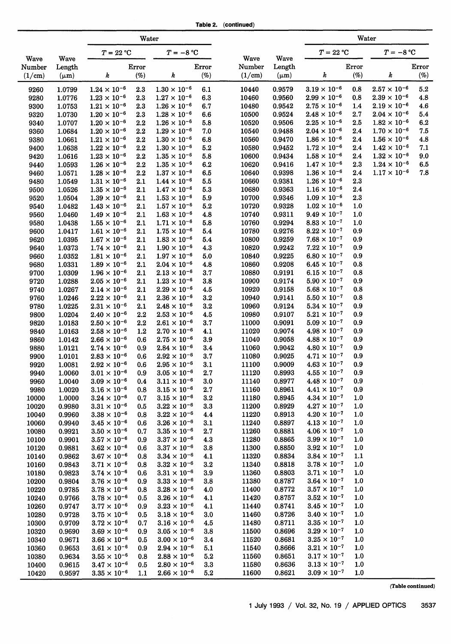| Table 2. | (continued) |
|----------|-------------|
|----------|-------------|

|                |                  |                                                | Water           |                                                |                |                |                       |                                                | Water      |                                                |            |
|----------------|------------------|------------------------------------------------|-----------------|------------------------------------------------|----------------|----------------|-----------------------|------------------------------------------------|------------|------------------------------------------------|------------|
|                |                  | $T = 22 °C$                                    |                 | $T=-8\ ^{\circ}\mathrm{C}$                     |                |                |                       | $T = 22 °C$                                    |            | $T = -8 °C$                                    |            |
| Wave<br>Number | Wave<br>Length   |                                                | Error           |                                                | Error          | Wave<br>Number | <b>Wave</b><br>Length |                                                | Error      |                                                | Error      |
| (1/cm)         | $(\mu m)$        | k                                              | $(\%)$          | k                                              | $(\%)$         | (1/cm)         | $(\mu m)$             | k                                              | (%         | k                                              | $(\%)$     |
| 9260           | 1.0799           | $1.24 \times 10^{-6}$                          | 2.3             | $1.30 \times 10^{-6}$                          | 6.1            | 10440          | 0.9579                | $3.19 \times 10^{-6}$                          | 0.8        | $2.57 \times 10^{-6}$                          | $5.2\,$    |
| 9280           | 1.0776           | $1.23 \times 10^{-6}$                          | 2.3             | $1.27 \times 10^{-6}$                          | 6.3            | 10460          | 0.9560                | $2.99 \times 10^{-6}$                          | 0.8        | $2.39 \times 10^{-6}$                          | 4.8        |
| 9300           | 1.0753           | $1.21\times10^{-6}$                            | 2.3             | $1.26 \times 10^{-6}$                          | 6.7            | 10480          | 0.9542                | $2.75 \times 10^{-6}$                          | 1.4        | $2.19 \times 10^{-6}$                          | 4.6        |
| 9320           | 1.0730           | $1.20 \times 10^{-6}$                          | 2.3             | $1.28 \times 10^{-6}$                          | 6.6            | 10500          | 0.9524                | $2.48 \times 10^{-6}$                          | 2.7        | $2.04 \times 10^{-6}$                          | 5.4        |
| 9340           | 1.0707           | $1.20 \times 10^{-6}$                          | 2.2             | $1.26 \times 10^{-6}$                          | 5.8            | 10520          | 0.9506                | $2.25 \times 10^{-6}$                          | 2.5        | $1.82 \times 10^{-6}$                          | 6.2        |
| 9360           | 1.0684           | $1.20 \times 10^{-6}$                          | 2.2             | $1.29 \times 10^{-6}$                          | 7.0            | 10540          | 0.9488                | $2.04 \times 10^{-6}$                          | $2.4\,$    | $1.70 \times 10^{-6}$                          | 7.5        |
| 9380           | 1.0661           | $1.21 \times 10^{-6}$<br>$1.22 \times 10^{-6}$ | 2.2<br>2.2      | $1.30 \times 10^{-6}$<br>$1.30 \times 10^{-6}$ | 6.8<br>5.2     | 10560<br>10580 | 0.9470<br>0.9452      | $1.86 \times 10^{-6}$<br>$1.72 \times 10^{-6}$ | 2.4<br>2.4 | $1.56 \times 10^{-6}$<br>$1.42 \times 10^{-6}$ | 4.8<br>7.1 |
| 9400<br>9420   | 1.0638<br>1.0616 | $1.23 \times 10^{-6}$                          | 2.2             | $1.35 \times 10^{-6}$                          | 5.8            | 10600          | 0.9434                | $1.58 \times 10^{-6}$                          | 2.4        | $1.32 \times 10^{-6}$                          | 9.0        |
| 9440           | 1.0593           | $1.26 \times 10^{-6}$                          | 2.2             | $1.35 \times 10^{-6}$                          | 6.2            | 10620          | 0.9416                | $1.47 \times 10^{-6}$                          | 2.3        | $1.24 \times 10^{-6}$                          | 6.5        |
| 9460           | 1.0571           | $1.28 \times 10^{-6}$                          | 2.2             | $1.37 \times 10^{-6}$                          | 6.5            | 10640          | 0.9398                | $1.36 \times 10^{-6}$                          | 2.4        | $1.17 \times 10^{-6}$                          | 7.8        |
| 9480           | 1.0549           | $1.31 \times 10^{-6}$                          | 2.1             | $1.44 \times 10^{-6}$                          | 5.5            | 10660          | 0.9381                | $1.26 \times 10^{-6}$                          | 2.3        |                                                |            |
| 9500           | 1.0526           | $1.35 \times 10^{-6}$                          | 2.1             | $1.47 \times 10^{-6}$                          | $5.3\,$        | 10680          | 0.9363                | $1.16 \times 10^{-6}$                          | 2.4        |                                                |            |
| 9520           | 1.0504           | $1.39 \times 10^{-6}$                          | 2.1             | $1.53 \times 10^{-6}$                          | 5.9            | 10700          | 0.9346                | $1.09 \times 10^{-6}$                          | 2.3        |                                                |            |
| 9540           | 1.0482           | $1.43 \times 10^{-6}$                          | $2.1\,$         | $1.57 \times 10^{-6}$                          | 5.2            | 10720          | 0.9328                | $1.02 \times 10^{-6}$                          | $1.0\,$    |                                                |            |
| 9560           | 1.0460           | $1.49 \times 10^{-6}$                          | 2.1             | $1.63 \times 10^{-6}$                          | 4.8            | 10740          | 0.9311                | $9.49 \times 10^{-7}$                          | 1.0        |                                                |            |
| 9580           | 1.0438           | $1.55 \times 10^{-6}$                          | 2.1             | $1.71 \times 10^{-6}$                          | 5.8            | 10760          | 0.9294                | $8.83 \times 10^{-7}$                          | 1.0        |                                                |            |
| 9600           | 1.0417           | $1.61 \times 10^{-6}$                          | 2.1             | $1.75 \times 10^{-6}$                          | 5.4            | 10780          | 0.9276                | $8.22 \times 10^{-7}$                          | 0.9        |                                                |            |
| 9620           | 1.0395           | $1.67 \times 10^{-6}$                          | 2.1             | $1.83 \times 10^{-6}$                          | 5.4            | 10800          | 0.9259                | $7.68 \times 10^{-7}$                          | 0.9        |                                                |            |
| 9640           | 1.0373           | $1.74 \times 10^{-6}$                          | 2.1             | $1.90 \times 10^{-6}$                          | 4.3            | 10820          | 0.9242                | $7.22 \times 10^{-7}$                          | 0.9        |                                                |            |
| 9660           | 1.0352           | $1.81 \times 10^{-6}$                          | 2.1             | $1.97 \times 10^{-6}$                          | 5.0            | 10840          | 0.9225                | $6.80 \times 10^{-7}$                          | 0.9        |                                                |            |
| 9680           | 1.0331           | $1.89 \times 10^{-6}$                          | 2.1             | $2.04 \times 10^{-6}$                          | 4.8            | 10860          | 0.9208                | $6.45\times10^{-7}$                            | 0.8        |                                                |            |
| 9700<br>9720   | 1.0309<br>1.0288 | $1.96 \times 10^{-6}$<br>$2.05 \times 10^{-6}$ | 2.1<br>2.1      | $2.13 \times 10^{-6}$<br>$1.23 \times 10^{-6}$ | 3.7<br>3.8     | 10880<br>10900 | 0.9191<br>0.9174      | $6.15 \times 10^{-7}$<br>$5.90 \times 10^{-7}$ | 0.8<br>0.9 |                                                |            |
| 9740           | 1.0267           | $2.14 \times 10^{-6}$                          | 2.1             | $2.29 \times 10^{-6}$                          | 4.5            | 10920          | 0.9158                | $5.68 \times 10^{-7}$                          | 0.8        |                                                |            |
| 9760           | 1.0246           | $2.22 \times 10^{-6}$                          | 2.1             | $2.36 \times 10^{-6}$                          | 3.2            | 10940          | 0.9141                | $5.50 \times 10^{-7}$                          | 0.8        |                                                |            |
| 9780           | 1.0225           | $2.31 \times 10^{-6}$                          | 2.1             | $2.48 \times 10^{-6}$                          | 3.2            | 10960          | 0.9124                | $5.34 \times 10^{-7}$                          | 0.9        |                                                |            |
| 9800           | 1.0204           | $2.40 \times 10^{-6}$                          | 2.2             | $2.53 \times 10^{-6}$                          | 4.5            | 10980          | 0.9107                | $5.21 \times 10^{-7}$                          | 0.9        |                                                |            |
| 9820           | 1.0183           | $2.50 \times 10^{-6}$                          | 2.2             | $2.61 \times 10^{-6}$                          | 3.7            | 11000          | 0.9091                | $5.09 \times 10^{-7}$                          | 0.9        |                                                |            |
| 9840           | 1.0163           | $2.58 \times 10^{-6}$                          | 1.2             | $2.70 \times 10^{-6}$                          | 4.1            | 11020          | 0.9074                | $4.98 \times 10^{-7}$                          | 0.9        |                                                |            |
| 9860           | 1.0142           | $2.66 \times 10^{-6}$                          | 0.6             | $2.75 \times 10^{-6}$                          | 3.9            | 11040          | 0.9058                | $4.88 \times 10^{-7}$                          | 0.9        |                                                |            |
| 9880           | 1.0121           | $2.74 \times 10^{-6}$                          | 0.9             | $2.84 \times 10^{-6}$                          | 3.4            | 11060          | 0.9042                | $4.80 \times 10^{-7}$                          | 0.9        |                                                |            |
| 9900           | 1.0101           | $2.83 \times 10^{-6}$                          | 0.6             | $2.92 \times 10^{-6}$                          | 3.7            | 11080          | 0.9025                | $4.71 \times 10^{-7}$                          | 0.9        |                                                |            |
| 9920           | 1.0081           | $2.92 \times 10^{-6}$                          | 0.6             | $2.95 \times 10^{-6}$                          | 3.1            | 11100          | 0.9009                | $4.63 \times 10^{-7}$                          | 0.9        |                                                |            |
| 9940           | 1.0060           | $3.01 \times 10^{-6}$                          | 0.9             | $3.05 \times 10^{-6}$                          | 2.7            | 11120          | 0.8993                | $4.55 \times 10^{-7}$                          | 0.9        |                                                |            |
| 9960           | 1.0040           | $3.09 \times 10^{-6}$                          | 0.4             | $3.11 \times 10^{-6}$                          | 3.0            | 11140          | 0.8977                | $4.48 \times 10^{-7}$                          | 0.9        |                                                |            |
| 9980           | 1.0020           | $3.16 \times 10^{-6}$                          | 0.8             | $3.15 \times 10^{-6}$                          | 2.7            | 11160          | 0.8961                | $4.41 \times 10^{-7}$                          | 0.9        |                                                |            |
| 10000          | 1.0000           | $3.24 \times 10^{-6}$<br>$3.31\times10^{-6}$   | 0.7             | $3.15 \times 10^{-6}$                          | 3.2            | 11180          | 0.8945                | $4.34 \times 10^{-7}$<br>$4.27 \times 10^{-7}$ | 1.0<br>1.0 |                                                |            |
| 10020<br>10040 | 0.9980<br>0.9960 | $3.38 \times 10^{-6}$                          | 0.5<br>$_{0.8}$ | $3.22 \times 10^{-6}$<br>$3.22 \times 10^{-6}$ | 3.3<br>4.4     | 11200<br>11220 | 0.8929<br>0.8913      | $4.20 \times 10^{-7}$                          | $1.0\,$    |                                                |            |
| 10060          | 0.9940           | $3.45 \times 10^{-6}$                          | 0.6             | $3.26 \times 10^{-6}$                          | 3.1            | 11240          | 0.8897                | $4.13 \times 10^{-7}$                          | 1.0        |                                                |            |
| 10080          | 0.9921           | $3.50 \times 10^{-6}$                          | 0.7             | $3.35 \times 10^{-6}$                          | 2.7            | 11260          | 0.8881                | $4.06 \times 10^{-7}$                          | 1.0        |                                                |            |
| 10100          | 0.9901           | $3.57 \times 10^{-6}$                          | 0.9             | $3.37 \times 10^{-6}$                          | 4.3            | 11280          | 0.8865                | $3.99\times10^{-7}$                            | 1.0        |                                                |            |
| 10120          | 0.9881           | $3.62 \times 10^{-6}$                          | 0.6             | $3.37 \times 10^{-6}$                          | 3.8            | 11300          | 0.8850                | $3.92 \times 10^{-7}$                          | 1.0        |                                                |            |
| 10140          | 0.9862           | $3.67 \times 10^{-6}$                          | 0.8             | $3.34 \times 10^{-6}$                          | 4.1            | 11320          | 0.8834                | $3.84 \times 10^{-7}$                          | 1.1        |                                                |            |
| 10160          | 0.9843           | $3.71 \times 10^{-6}$                          | 0.8             | $3.32 \times 10^{-6}$                          | 3.2            | 11340          | 0.8818                | $3.78 \times 10^{-7}$                          | 1.0        |                                                |            |
| 10180          | 0.9823           | $3.74 \times 10^{-6}$                          | 0.6             | $3.31 \times 10^{-6}$                          | 3.9            | 11360          | 0.8803                | $3.71 \times 10^{-7}$                          | 1.0        |                                                |            |
| 10200          | 0.9804           | $3.76 \times 10^{-6}$                          | 0.9             | $3.33 \times 10^{-6}$                          | 3.8            | 11380          | 0.8787                | $3.64 \times 10^{-7}$                          | 1.0        |                                                |            |
| 10220          | 0.9785           | $3.78 \times 10^{-6}$                          | 0.8             | $3.28 \times 10^{-6}$                          | 4.0            | 11400          | 0.8772                | $3.57 \times 10^{-7}$                          | 1.0        |                                                |            |
| 10240          | 0.9766           | $3.78 \times 10^{-6}$                          | 0.5             | $3.26 \times 10^{-6}$                          | 4.1            | 11420          | 0.8757                | $3.52 \times 10^{-7}$                          | 1.0        |                                                |            |
| 10260          | 0.9747           | $3.77 \times 10^{-6}$                          | 0.9             | $3.23 \times 10^{-6}$                          | 4.1            | 11440          | 0.8741                | $3.45 \times 10^{-7}$                          | 1.0        |                                                |            |
| 10280          | 0.9728           | $3.75\times10^{-6}$                            | 0.5             | $3.18 \times 10^{-6}$                          | 3.0            | 11460          | 0.8726                | $3.40 \times 10^{-7}$                          | 1.0        |                                                |            |
| 10300          | 0.9709           | $3.72 \times 10^{-6}$                          | 0.7             | $3.16 \times 10^{-6}$                          | 4.5            | 11480          | 0.8711                | $3.35 \times 10^{-7}$<br>$3.29 \times 10^{-7}$ | 1.0        |                                                |            |
| 10320          | 0.9690           | $3.69 \times 10^{-6}$<br>$3.66\times10^{-6}$   | 0.9             | $3.05 \times 10^{-6}$<br>$3.00 \times 10^{-6}$ | 3.8            | 11500<br>11520 | 0.8696<br>0.8681      | $3.25\times10^{-7}$                            | 1.0<br>1.0 |                                                |            |
| 10340<br>10360 | 0.9671<br>0.9653 | $3.61 \times 10^{-6}$                          | 0.5<br>0.9      | $2.94 \times 10^{-6}$                          | $3.4\,$<br>5.1 | 11540          | 0.8666                | $3.21 \times 10^{-7}$                          | 1.0        |                                                |            |
| 10380          | 0.9634           | $3.55 \times 10^{-6}$                          | 0.8             | $2.88 \times 10^{-6}$                          | 5.2            | 11560          | 0.8651                | $3.17 \times 10^{-7}$                          | 1.0        |                                                |            |
| 10400          | 0.9615           | $3.47 \times 10^{-6}$                          | 0.5             | $2.80 \times 10^{-6}$                          | 3.3            | 11580          | 0.8636                | $3.13 \times 10^{-7}$                          | 1.0        |                                                |            |
| 10420          | 0.9597           | $3.35 \times 10^{-6}$                          | 1.1             | $2.66 \times 10^{-6}$                          | 5.2            | 11600          | 0.8621                | $3.09 \times 10^{-7}$                          | 1.0        |                                                |            |
|                |                  |                                                |                 |                                                |                |                |                       |                                                |            |                                                |            |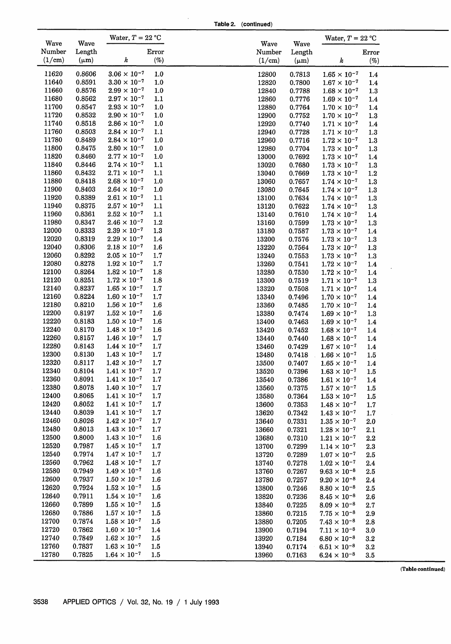**Table 2. (continued)**

| Wave           | Wave             | Water, $T = 22 °C$                             |            | Wave           | Wave             | Water, $T = 22$ °C                             |            |  |
|----------------|------------------|------------------------------------------------|------------|----------------|------------------|------------------------------------------------|------------|--|
| Number         | Length           |                                                | Error      | Number         | Length           |                                                | Error      |  |
| (1/cm)         | $(\mu m)$        | k                                              | (%)        | (1/cm)         | $(\mu m)$        | k                                              | $(\%)$     |  |
| 11620          | 0.8606           | $3.06 \times 10^{-7}$                          | $1.0$      | 12800          | 0.7813           | $1.65 \times 10^{-7}$                          | 1.4        |  |
| 11640          | 0.8591           | $3.30 \times 10^{-7}$                          | 1.0        | 12820          | 0.7800           | $1.67 \times 10^{-7}$                          | 1.4        |  |
| 11660          | 0.8576           | $2.99 \times 10^{-7}$                          | 1.0        | 12840          | 0.7788           | $1.68 \times 10^{-7}$                          | 1.3        |  |
| 11680          | 0.8562           | $2.97 \times 10^{-7}$                          | 1.1        | 12860          | 0.7776           | $1.69 \times 10^{-7}$                          | 1.4        |  |
| 11700          | 0.8547           | $2.93 \times 10^{-7}$                          | 1.0        | 12880          | 0.7764           | $1.70 \times 10^{-7}$                          | 1.4        |  |
| 11720          | 0.8532           | $2.90 \times 10^{-7}$                          | 1.0        | 12900          | 0.7752           | $1.70 \times 10^{-7}$                          | 1.3        |  |
| 11740          | 0.8518           | $2.86 \times 10^{-7}$                          | 1.0        | 12920          | 0.7740           | $1.71 \times 10^{-7}$                          | 1.4        |  |
| 11760          | 0.8503           | $2.84 \times 10^{-7}$                          | 1.1        | 12940          | 0.7728           | $1.71 \times 10^{-7}$                          | 1.3        |  |
| 11780          | 0.8489           | $2.84 \times 10^{-7}$                          | $1.0$      | 12960          | 0.7716           | $1.72 \times 10^{-7}$                          | 1.3        |  |
| 11800          | 0.8475           | $2.80 \times 10^{-7}$                          | 1.0        | 12980          | 0.7704           | $1.73 \times 10^{-7}$                          | 1.3        |  |
| 11820          | 0.8460           | $2.77 \times 10^{-7}$                          | 1.0        | 13000          | 0.7692           | $1.73 \times 10^{-7}$                          | 1.4        |  |
| 11840          | 0.8446           | $2.74 \times 10^{-7}$                          | 1.1        | 13020          | 0.7680           | $1.73\times10^{-7}$                            | 1.3        |  |
| 11860          | 0.8432           | $2.71 \times 10^{-7}$                          | 1.1        | 13040          | 0.7669           | $1.73\times10^{-7}$                            | 1.2        |  |
| 11880          | 0.8418           | $2.68 \times 10^{-7}$                          | 1.0        | 13060          | 0.7657           | $1.74 \times 10^{-7}$                          | 1.3        |  |
| 11900          | 0.8403           | $2.64 \times 10^{-7}$                          | 1.0        | 13080          | 0.7645           | $1.74 \times 10^{-7}$                          | 1.3        |  |
| 11920          | 0.8389           | $2.61 \times 10^{-7}$                          | 1.1        | 13100          | 0.7634           | $1.74 \times 10^{-7}$                          | 1.3        |  |
| 11940          | 0.8375           | $2.57 \times 10^{-7}$                          | 1.1        | 13120          | 0.7622           | $1.74 \times 10^{-7}$                          | 1.3        |  |
| 11960          | 0.8361           | $2.52 \times 10^{-7}$                          | 1.1        | 13140          | 0.7610           | $1.74 \times 10^{-7}$                          | 1.4        |  |
| 11980          | 0.8347           | $2.46 \times 10^{-7}$                          | 1.2        | 13160          | 0.7599           | $1.73 \times 10^{-7}$                          | 1.3        |  |
| 12000          | 0.8333           | $2.39 \times 10^{-7}$                          | 1.3        | 13180          | 0.7587           | $1.73 \times 10^{-7}$                          | 1.4        |  |
| 12020          | 0.8319           | $2.29 \times 10^{-7}$                          | 1.4        | 13200          | 0.7576           | $1.73 \times 10^{-7}$                          | 1.3        |  |
| 12040          | 0.8306           | $2.18 \times 10^{-7}$                          | 1.6        | 13220          | 0.7564           | $1.73 \times 10^{-7}$                          | 1.3        |  |
| 12060          | 0.8292           | $2.05 \times 10^{-7}$                          | 1.7        | 13240          | 0.7553           | $1.73 \times 10^{-7}$                          | 1.3        |  |
| 12080          | 0.8278           | $1.92 \times 10^{-7}$                          | 1.7        | 13260          | 0.7541           | $1.72 \times 10^{-7}$                          | 1.4        |  |
| 12100          | 0.8264           | $1.82 \times 10^{-7}$                          | 1.8        | 13280          | 0.7530           | $1.72 \times 10^{-7}$                          | 1.4        |  |
| 12120          | 0.8251           | $1.72 \times 10^{-7}$                          | 1.8        | 13300          | 0.7519           | $1.71 \times 10^{-7}$                          | 1.3        |  |
| 12140          | 0.8237           | $1.65 \times 10^{-7}$                          | 1.7        | 13320          | 0.7508           | $1.71 \times 10^{-7}$                          | 1.4        |  |
| 12160<br>12180 | 0.8224<br>0.8210 | $1.60 \times 10^{-7}$<br>$1.56 \times 10^{-7}$ | 1.7        | 13340          | 0.7496           | $1.70 \times 10^{-7}$                          | 1.4        |  |
| 12200          | 0.8197           | $1.52 \times 10^{-7}$                          | 1.6<br>1.6 | 13360<br>13380 | 0.7485<br>0.7474 | $1.70 \times 10^{-7}$<br>$1.69 \times 10^{-7}$ | 1.4        |  |
| 12220          | 0.8183           | $1.50 \times 10^{-7}$                          | 1.6        | 13400          | 0.7463           | $1.69 \times 10^{-7}$                          | 1.3        |  |
| 12240          | 0.8170           | $1.48 \times 10^{-7}$                          | 1.6        | 13420          | 0.7452           | $1.68 \times 10^{-7}$                          | 1.4<br>1.4 |  |
| 12260          | 0.8157           | $1.46 \times 10^{-7}$                          | 1.7        | 13440          | 0.7440           | $1.68 \times 10^{-7}$                          | 1.4        |  |
| 12280          | 0.8143           | $1.44 \times 10^{-7}$                          | 1.7        | 13460          | 0.7429           | $1.67 \times 10^{-7}$                          | 1.4        |  |
| 12300          | 0.8130           | $1.43 \times 10^{-7}$                          | 1.7        | 13480          | 0.7418           | $1.66 \times 10^{-7}$                          | 1.5        |  |
| 12320          | 0.8117           | $1.42 \times 10^{-7}$                          | 1.7        | 13500          | 0.7407           | $1.65 \times 10^{-7}$                          | 1.4        |  |
| 12340          | 0.8104           | $1.41\times10^{-7}$                            | 1.7        | 13520          | 0.7396           | $1.63 \times 10^{-7}$                          | 1.5        |  |
| 12360          | 0.8091           | $1.41 \times 10^{-7}$                          | 1.7        | 13540          | 0.7386           | $1.61 \times 10^{-7}$                          | 1.4        |  |
| 12380          | 0.8078           | $1.40 \times 10^{-7}$                          | 1.7        | 13560          | 0.7375           | $1.57 \times 10^{-7}$                          | 1.5        |  |
| 12400          | 0.8065           | $1.41 \times 10^{-7}$                          | 1.7        | 13580          | 0.7364           | $1.53 \times 10^{-7}$                          | 1.5        |  |
| 12420          | 0.8052           | $1.41\times10^{-7}$                            | 1.7        | 13600          | 0.7353           | $1.48 \times 10^{-7}$                          | 1.7        |  |
| 12440          | 0.8039           | $1.41 \times 10^{-7}$                          | 1.7        | 13620          | 0.7342           | $1.43 \times 10^{-7}$                          | 1.7        |  |
| 12460          | 0.8026           | $1.42 \times 10^{-7}$                          | 1.7        | 13640          | 0.7331           | $1.35 \times 10^{-7}$                          | 2.0        |  |
| 12480          | 0.8013           | $1.43 \times 10^{-7}$                          | 1.7        | 13660          | 0.7321           | $1.28 \times 10^{-7}$                          | 2.1        |  |
| 12500          | 0.8000           | $1.43 \times 10^{-7}$                          | 1.6        | 13680          | 0.7310           | $1.21 \times 10^{-7}$                          | 2.2        |  |
| 12520          | 0.7987           | $1.45 \times 10^{-7}$                          | 1.7        | 13700          | 0.7299           | $1.14 \times 10^{-7}$                          | 2.3        |  |
| 12540          | 0.7974           | $1.47 \times 10^{-7}$                          | 1.7        | 13720          | 0.7289           | $1.07 \times 10^{-7}$                          | 2.5        |  |
| 12560          | 0.7962           | $1.48 \times 10^{-7}$                          | 1.7        | 13740          | 0.7278           | $1.02 \times 10^{-7}$                          | 2.4        |  |
| 12580          | 0.7949           | $1.49 \times 10^{-7}$                          | 1.6        | 13760          | 0.7267           | $9.63 \times 10^{-8}$                          | 2.5        |  |
| 12600          | 0.7937           | $1.50 \times 10^{-7}$                          | 1.6        | 13780          | 0.7257           | $9.20 \times 10^{-8}$                          | 2.4        |  |
| 12620          | 0.7924           | $1.52 \times 10^{-7}$                          | 1.5        | 13800          | 0.7246           | $8.80 \times 10^{-8}$                          | 2.5        |  |
| 12640          | 0.7911           | $1.54 \times 10^{-7}$                          | 1.6        | 13820          | 0.7236           | $8.45 \times 10^{-8}$                          | 2.6        |  |
| 12660          | 0.7899           | $1.55 \times 10^{-7}$                          | 1.5        | 13840          | 0.7225           | $8.09 \times 10^{-8}$                          | 2.7        |  |
| 12680          | 0.7886           | $1.57 \times 10^{-7}$                          | 1.5        | 13860          | 0.7215           | $7.75 \times 10^{-8}$                          | 2.9        |  |
| 12700          | 0.7874           | $1.58 \times 10^{-7}$                          | 1.5        | 13880          | 0.7205           | $7.43 \times 10^{-8}$                          | 2.8        |  |
| 12720          | 0.7862           | $1.60 \times 10^{-7}$                          | 1.4        | 13900          | 0.7194           | $7.11 \times 10^{-8}$                          | 3.0        |  |
| 12740          | 0.7849           | $1.62 \times 10^{-7}$                          | 1.5        | 13920          | 0.7184           | $6.80 \times 10^{-8}$                          | $3.2\,$    |  |
| 12760          | 0.7837           | $1.63 \times 10^{-7}$                          | 1.5        | 13940          | 0.7174           | $6.51 \times 10^{-8}$                          | $3.2\,$    |  |
| 12780          | 0.7825           | $1.64 \times 10^{-7}$                          | 1.5        | 13960          | 0.7163           | $6.24 \times 10^{-8}$                          | $3.5\,$    |  |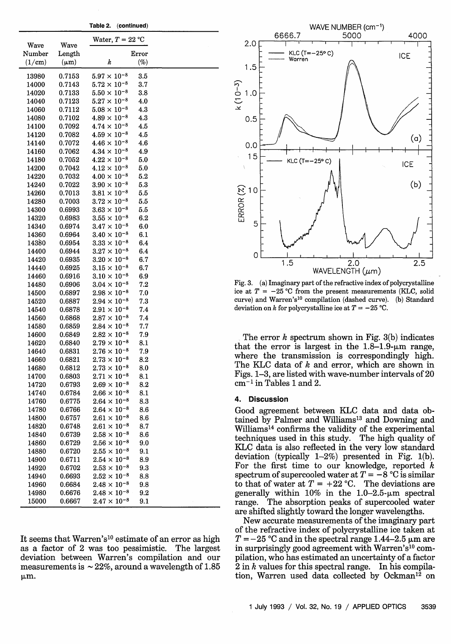|        | Wave      | Water, $T = 22$ °C    |         |  |
|--------|-----------|-----------------------|---------|--|
| Wave   |           |                       |         |  |
| Number | Length    |                       | Error   |  |
| (1/cm) | $(\mu m)$ | k                     | $(\%)$  |  |
| 13980  | 0.7153    | $5.97 \times 10^{-8}$ | $3.5\,$ |  |
| 14000  | 0.7143    | $5.72 \times 10^{-8}$ | 3.7     |  |
| 14020  | 0.7133    | $5.50 \times 10^{-8}$ | 3.8     |  |
| 14040  | 0.7123    | $5.27 \times 10^{-8}$ | 4.0     |  |
| 14060  | 0.7112    | $5.08 \times 10^{-8}$ | 4.3     |  |
| 14080  | 0.7102    | $4.89 \times 10^{-8}$ | 4.3     |  |
| 14100  | 0.7092    | $4.74 \times 10^{-8}$ | 4.5     |  |
| 14120  | 0.7082    | $4.59 \times 10^{-8}$ | 4.5     |  |
| 14140  | 0.7072    | $4.46 \times 10^{-8}$ | 4.6     |  |
| 14160  | 0.7062    | $4.34 \times 10^{-8}$ | 4.9     |  |
| 14180  | 0.7052    | $4.22 \times 10^{-8}$ | 5.0     |  |
| 14200  | 0.7042    | $4.12 \times 10^{-8}$ | 5.0     |  |
| 14220  | 0.7032    | $4.00 \times 10^{-8}$ | 5.2     |  |
| 14240  | 0.7022    | $3.90 \times 10^{-8}$ | 5.3     |  |
| 14260  | 0.7013    | $3.81 \times 10^{-8}$ | 5.5     |  |
| 14280  | 0.7003    | $3.72 \times 10^{-8}$ | 5.5     |  |
| 14300  | 0.6993    | $3.63 \times 10^{-8}$ | 5.5     |  |
| 14320  | 0.6983    | $3.55 \times 10^{-8}$ | 6.2     |  |
| 14340  | 0.6974    | $3.47\times10^{-8}$   | 6.0     |  |
| 14360  | 0.6964    | $3.40\times10^{-8}$   | 6.1     |  |
| 14380  | 0.6954    | $3.33 \times 10^{-8}$ | 6.4     |  |
| 14400  | 0.6944    | $3.27 \times 10^{-8}$ | 6.4     |  |
| 14420  | 0.6935    | $3.20 \times 10^{-8}$ | 6.7     |  |
| 14440  | 0.6925    | $3.15 \times 10^{-8}$ | 6.7     |  |
| 14460  | 0.6916    | $3.10 \times 10^{-8}$ | 6.9     |  |
| 14480  | 0.6906    | $3.04 \times 10^{-8}$ | 7.2     |  |
| 14500  | 0.6897    | $2.98 \times 10^{-8}$ | 7.0     |  |
| 14520  | 0.6887    | $2.94 \times 10^{-8}$ | 7.3     |  |
| 14540  | 0.6878    | $2.91 \times 10^{-8}$ | 7.4     |  |
| 14560  | 0.6868    | $2.87\times10^{-8}$   | 7.4     |  |
| 14580  | 0.6859    | $2.84 \times 10^{-8}$ | 7.7     |  |
| 14600  | 0.6849    | $2.82 \times 10^{-8}$ | 7.9     |  |
| 14620  | 0.6840    | $2.79 \times 10^{-8}$ | 8.1     |  |
| 14640  | 0.6831    | $2.76 \times 10^{-8}$ | 7.9     |  |
| 14660  | 0.6821    | $2.73 \times 10^{-8}$ | 8.2     |  |
| 14680  | 0.6812    | $2.73 \times 10^{-8}$ | 8.0     |  |
| 14700  | 0.6803    | $2.71\times10^{-8}$   | 8.1     |  |
| 14720  | 0.6793    | $2.69 \times 10^{-8}$ | 8.2     |  |
| 14740  | 0.6784    | $2.66 \times 10^{-8}$ | 8.1     |  |
| 14760  | 0.6775    | $2.64 \times 10^{-8}$ | 8.3     |  |
| 14780  | 0.6766    | $2.64 \times 10^{-8}$ | 8.6     |  |
| 14800  | 0.6757    | $2.61 \times 10^{-8}$ | 8.6     |  |
| 14820  | 0.6748    | $2.61 \times 10^{-8}$ | 8.7     |  |
| 14840  | 0.6739    | $2.58 \times 10^{-8}$ | 8.6     |  |
| 14860  | 0.6729    | $2.56\times10^{-8}$   | 9.0     |  |
| 14880  | 0.6720    | $2.55\times10^{-8}$   | 9.1     |  |
| 14900  | 0.6711    | $2.54\times10^{-8}$   | 8.9     |  |
| 14920  | 0.6702    | $2.53\times10^{-8}$   | 9.3     |  |
| 14940  | 0.6693    | $2.52 \times 10^{-8}$ | 8.8     |  |
| 14960  | 0.6684    | $2.48 \times 10^{-8}$ | 9.8     |  |
| 14980  | 0.6676    | $2.48 \times 10^{-8}$ | 9.2     |  |
| 15000  | 0.6667    | $2.47 \times 10^{-8}$ | 9.1     |  |
|        |           |                       |         |  |

**Table 2. (continued)**

It seems that Warren's<sup>10</sup> estimate of an error as high as a factor of 2 was too pessimistic. The largest deviation between Warren's compilation and our measurements is  $\sim 22\%$ , around a wavelength of 1.85 jim.



Fig. 3. (a) Imaginary part of the refractive index of polycrystalline ice at  $T = -25$  °C from the present measurements (KLC, solid curve) and Warren's<sup>10</sup> compilation (dashed curve). (b) Standard deviation on k for polycrystalline ice at  $T = -25$  °C.

The error *k* spectrum shown in Fig. 3(b) indicates that the error is largest in the  $1.8-1.9$ -µm range, where the transmission is correspondingly high. The KLC data of *k* and error, which are shown in Figs. 1-3, are listed with wave-number intervals of 20  $cm^{-1}$  in Tables 1 and 2.

### **4. Discussion**

Good agreement between KLC data and data obtained by Palmer and Williams<sup>13</sup> and Downing and Williams<sup>14</sup> confirms the validity of the experimental techniques used in this study. The high quality of KLC data is also reflected in the very low standard deviation (typically  $1-2\%$ ) presented in Fig. 1(b). For the first time to our knowledge, reported *k* spectrum of supercooled water at  $T = -8$  °C is similar to that of water at  $T = +22$  °C. The deviations are generally within  $10\%$  in the 1.0-2.5- $\mu$ m spectral range. The absorption peaks of supercooled water are shifted slightly toward the longer wavelengths.

New accurate measurements of the imaginary part of the refractive index of polycrystalline ice taken at  $T = -25$  °C and in the spectral range 1.44-2.5  $\mu$ m are in surprisingly good agreement with Warren's $10$  compilation, who has estimated an uncertainty of a factor 2 in *k* values for this spectral range. In his compilation, Warren used data collected by Ockman<sup>12</sup> on